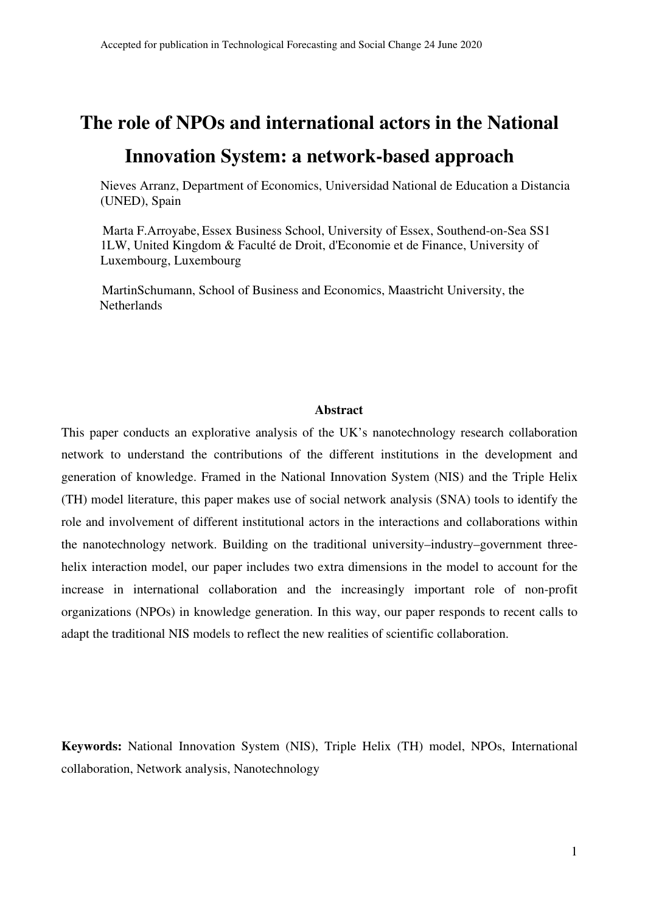# **The role of NPOs and international actors in the National Innovation System: a network-based approach**

Nieves Arranz, Department of Economics, Universidad National de Education a Distancia (UNED), Spain

Marta F.Arroyabe, Essex Business School, University of Essex, Southend-on-Sea SS1 1LW, United Kingdom & Faculté de Droit, d'Economie et de Finance, University of Luxembourg, Luxembourg

MartinSchumann, School of Business and Economics, Maastricht University, the **Netherlands** 

#### **Abstract**

This paper conducts an explorative analysis of the UK's nanotechnology research collaboration network to understand the contributions of the different institutions in the development and generation of knowledge. Framed in the National Innovation System (NIS) and the Triple Helix (TH) model literature, this paper makes use of social network analysis (SNA) tools to identify the role and involvement of different institutional actors in the interactions and collaborations within the nanotechnology network. Building on the traditional university–industry–government threehelix interaction model, our paper includes two extra dimensions in the model to account for the increase in international collaboration and the increasingly important role of non-profit organizations (NPOs) in knowledge generation. In this way, our paper responds to recent calls to adapt the traditional NIS models to reflect the new realities of scientific collaboration.

**Keywords:** National Innovation System (NIS), Triple Helix (TH) model, NPOs, International collaboration, Network analysis, Nanotechnology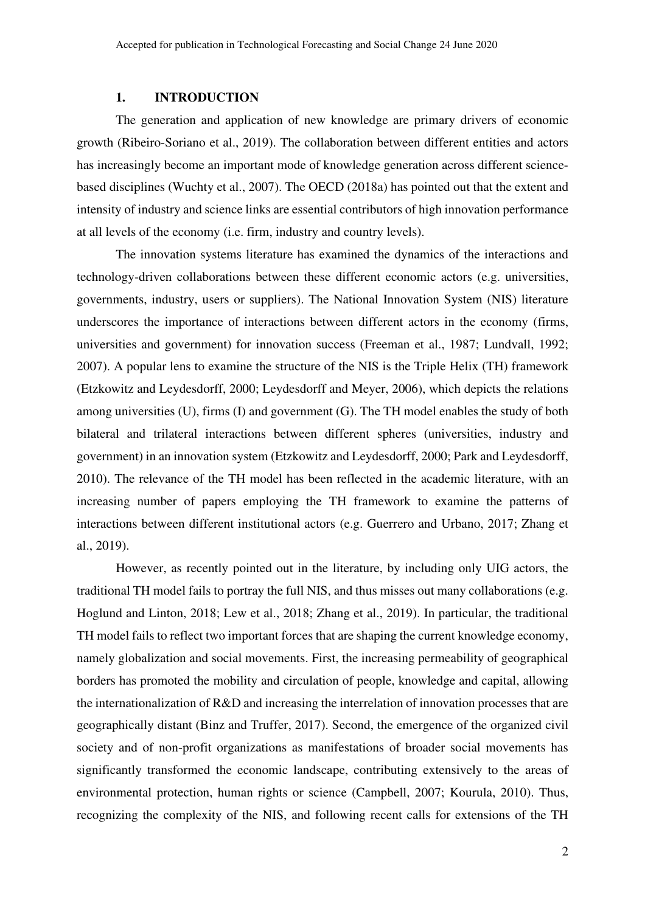#### **1. INTRODUCTION**

The generation and application of new knowledge are primary drivers of economic growth (Ribeiro-Soriano et al., 2019). The collaboration between different entities and actors has increasingly become an important mode of knowledge generation across different sciencebased disciplines (Wuchty et al., 2007). The OECD (2018a) has pointed out that the extent and intensity of industry and science links are essential contributors of high innovation performance at all levels of the economy (i.e. firm, industry and country levels).

The innovation systems literature has examined the dynamics of the interactions and technology-driven collaborations between these different economic actors (e.g. universities, governments, industry, users or suppliers). The National Innovation System (NIS) literature underscores the importance of interactions between different actors in the economy (firms, universities and government) for innovation success (Freeman et al., 1987; Lundvall, 1992; 2007). A popular lens to examine the structure of the NIS is the Triple Helix (TH) framework (Etzkowitz and Leydesdorff, 2000; Leydesdorff and Meyer, 2006), which depicts the relations among universities (U), firms (I) and government (G). The TH model enables the study of both bilateral and trilateral interactions between different spheres (universities, industry and government) in an innovation system (Etzkowitz and Leydesdorff, 2000; Park and Leydesdorff, 2010). The relevance of the TH model has been reflected in the academic literature, with an increasing number of papers employing the TH framework to examine the patterns of interactions between different institutional actors (e.g. Guerrero and Urbano, 2017; Zhang et al., 2019).

However, as recently pointed out in the literature, by including only UIG actors, the traditional TH model fails to portray the full NIS, and thus misses out many collaborations (e.g. Hoglund and Linton, 2018; Lew et al., 2018; Zhang et al., 2019). In particular, the traditional TH model fails to reflect two important forces that are shaping the current knowledge economy, namely globalization and social movements. First, the increasing permeability of geographical borders has promoted the mobility and circulation of people, knowledge and capital, allowing the internationalization of R&D and increasing the interrelation of innovation processes that are geographically distant (Binz and Truffer, 2017). Second, the emergence of the organized civil society and of non-profit organizations as manifestations of broader social movements has significantly transformed the economic landscape, contributing extensively to the areas of environmental protection, human rights or science (Campbell, 2007; Kourula, 2010). Thus, recognizing the complexity of the NIS, and following recent calls for extensions of the TH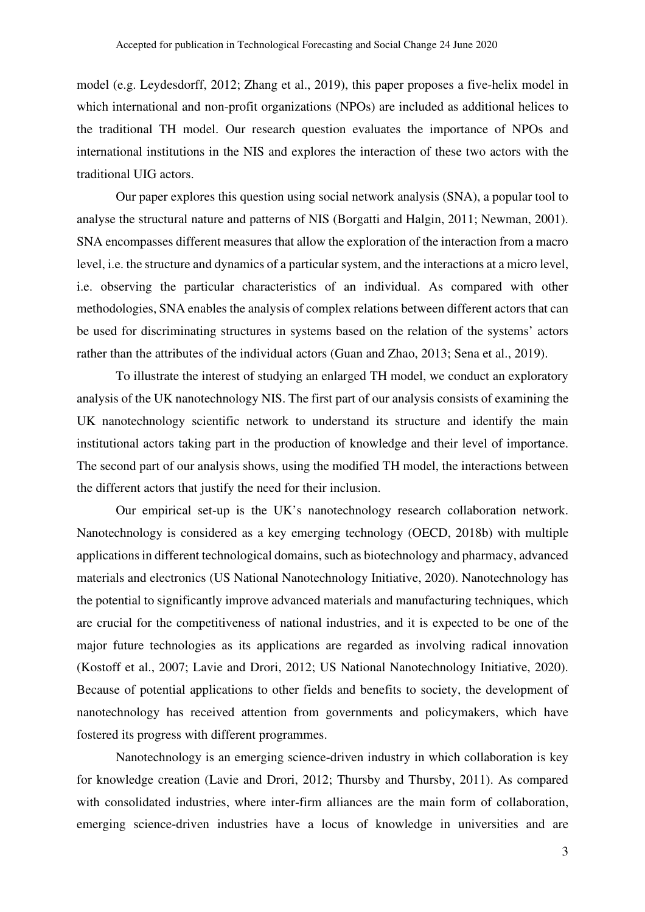model (e.g. Leydesdorff, 2012; Zhang et al., 2019), this paper proposes a five-helix model in which international and non-profit organizations (NPOs) are included as additional helices to the traditional TH model. Our research question evaluates the importance of NPOs and international institutions in the NIS and explores the interaction of these two actors with the traditional UIG actors.

Our paper explores this question using social network analysis (SNA), a popular tool to analyse the structural nature and patterns of NIS (Borgatti and Halgin, 2011; Newman, 2001). SNA encompasses different measures that allow the exploration of the interaction from a macro level, i.e. the structure and dynamics of a particular system, and the interactions at a micro level, i.e. observing the particular characteristics of an individual. As compared with other methodologies, SNA enables the analysis of complex relations between different actors that can be used for discriminating structures in systems based on the relation of the systems' actors rather than the attributes of the individual actors (Guan and Zhao, 2013; Sena et al., 2019).

To illustrate the interest of studying an enlarged TH model, we conduct an exploratory analysis of the UK nanotechnology NIS. The first part of our analysis consists of examining the UK nanotechnology scientific network to understand its structure and identify the main institutional actors taking part in the production of knowledge and their level of importance. The second part of our analysis shows, using the modified TH model, the interactions between the different actors that justify the need for their inclusion.

Our empirical set-up is the UK's nanotechnology research collaboration network. Nanotechnology is considered as a key emerging technology (OECD, 2018b) with multiple applications in different technological domains, such as biotechnology and pharmacy, advanced materials and electronics (US National Nanotechnology Initiative, 2020). Nanotechnology has the potential to significantly improve advanced materials and manufacturing techniques, which are crucial for the competitiveness of national industries, and it is expected to be one of the major future technologies as its applications are regarded as involving radical innovation (Kostoff et al., 2007; Lavie and Drori, 2012; US National Nanotechnology Initiative, 2020). Because of potential applications to other fields and benefits to society, the development of nanotechnology has received attention from governments and policymakers, which have fostered its progress with different programmes.

Nanotechnology is an emerging science-driven industry in which collaboration is key for knowledge creation (Lavie and Drori, 2012; Thursby and Thursby, 2011). As compared with consolidated industries, where inter-firm alliances are the main form of collaboration, emerging science-driven industries have a locus of knowledge in universities and are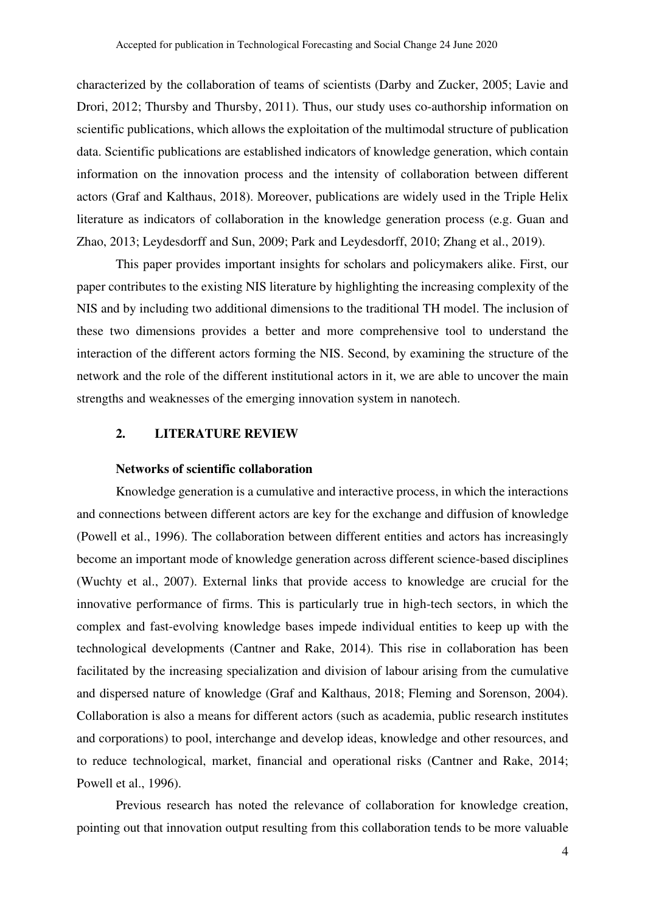characterized by the collaboration of teams of scientists (Darby and Zucker, 2005; Lavie and Drori, 2012; Thursby and Thursby, 2011). Thus, our study uses co-authorship information on scientific publications, which allows the exploitation of the multimodal structure of publication data. Scientific publications are established indicators of knowledge generation, which contain information on the innovation process and the intensity of collaboration between different actors (Graf and Kalthaus, 2018). Moreover, publications are widely used in the Triple Helix literature as indicators of collaboration in the knowledge generation process (e.g. Guan and Zhao, 2013; Leydesdorff and Sun, 2009; Park and Leydesdorff, 2010; Zhang et al., 2019).

This paper provides important insights for scholars and policymakers alike. First, our paper contributes to the existing NIS literature by highlighting the increasing complexity of the NIS and by including two additional dimensions to the traditional TH model. The inclusion of these two dimensions provides a better and more comprehensive tool to understand the interaction of the different actors forming the NIS. Second, by examining the structure of the network and the role of the different institutional actors in it, we are able to uncover the main strengths and weaknesses of the emerging innovation system in nanotech.

## **2. LITERATURE REVIEW**

### **Networks of scientific collaboration**

Knowledge generation is a cumulative and interactive process, in which the interactions and connections between different actors are key for the exchange and diffusion of knowledge (Powell et al., 1996). The collaboration between different entities and actors has increasingly become an important mode of knowledge generation across different science-based disciplines (Wuchty et al., 2007). External links that provide access to knowledge are crucial for the innovative performance of firms. This is particularly true in high-tech sectors, in which the complex and fast-evolving knowledge bases impede individual entities to keep up with the technological developments (Cantner and Rake, 2014). This rise in collaboration has been facilitated by the increasing specialization and division of labour arising from the cumulative and dispersed nature of knowledge (Graf and Kalthaus, 2018; Fleming and Sorenson, 2004). Collaboration is also a means for different actors (such as academia, public research institutes and corporations) to pool, interchange and develop ideas, knowledge and other resources, and to reduce technological, market, financial and operational risks (Cantner and Rake, 2014; Powell et al., 1996).

Previous research has noted the relevance of collaboration for knowledge creation, pointing out that innovation output resulting from this collaboration tends to be more valuable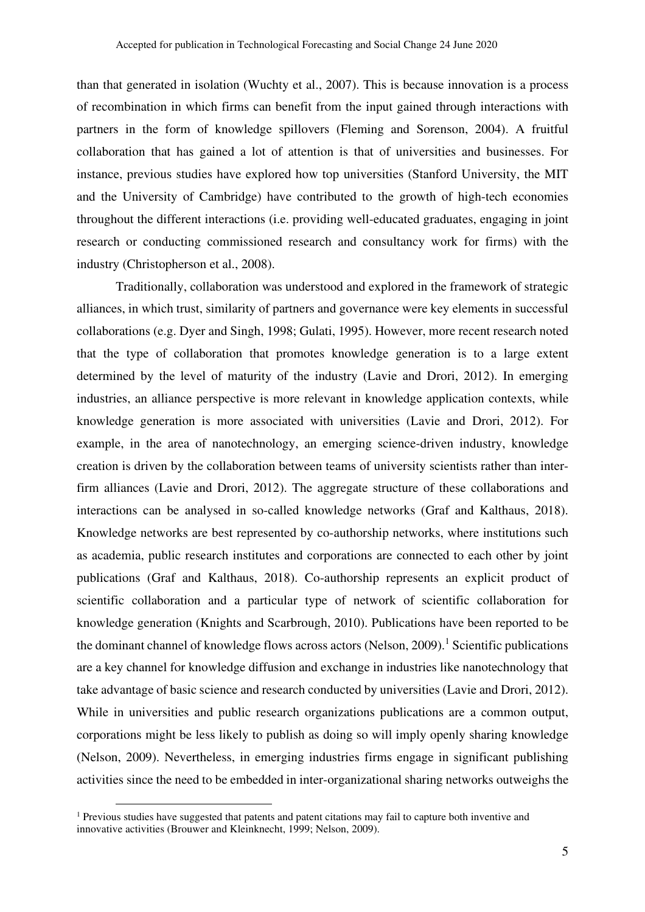than that generated in isolation (Wuchty et al., 2007). This is because innovation is a process of recombination in which firms can benefit from the input gained through interactions with partners in the form of knowledge spillovers (Fleming and Sorenson, 2004). A fruitful collaboration that has gained a lot of attention is that of universities and businesses. For instance, previous studies have explored how top universities (Stanford University, the MIT and the University of Cambridge) have contributed to the growth of high-tech economies throughout the different interactions (i.e. providing well-educated graduates, engaging in joint research or conducting commissioned research and consultancy work for firms) with the industry (Christopherson et al., 2008).

Traditionally, collaboration was understood and explored in the framework of strategic alliances, in which trust, similarity of partners and governance were key elements in successful collaborations (e.g. Dyer and Singh, 1998; Gulati, 1995). However, more recent research noted that the type of collaboration that promotes knowledge generation is to a large extent determined by the level of maturity of the industry (Lavie and Drori, 2012). In emerging industries, an alliance perspective is more relevant in knowledge application contexts, while knowledge generation is more associated with universities (Lavie and Drori, 2012). For example, in the area of nanotechnology, an emerging science-driven industry, knowledge creation is driven by the collaboration between teams of university scientists rather than interfirm alliances (Lavie and Drori, 2012). The aggregate structure of these collaborations and interactions can be analysed in so-called knowledge networks (Graf and Kalthaus, 2018). Knowledge networks are best represented by co-authorship networks, where institutions such as academia, public research institutes and corporations are connected to each other by joint publications (Graf and Kalthaus, 2018). Co-authorship represents an explicit product of scientific collaboration and a particular type of network of scientific collaboration for knowledge generation (Knights and Scarbrough, 2010). Publications have been reported to be the dominant channel of knowledge flows across actors (Nelson, 2009).<sup>1</sup> Scientific publications are a key channel for knowledge diffusion and exchange in industries like nanotechnology that take advantage of basic science and research conducted by universities (Lavie and Drori, 2012). While in universities and public research organizations publications are a common output, corporations might be less likely to publish as doing so will imply openly sharing knowledge (Nelson, 2009). Nevertheless, in emerging industries firms engage in significant publishing activities since the need to be embedded in inter-organizational sharing networks outweighs the

<sup>&</sup>lt;sup>1</sup> Previous studies have suggested that patents and patent citations may fail to capture both inventive and innovative activities (Brouwer and Kleinknecht, 1999; Nelson, 2009).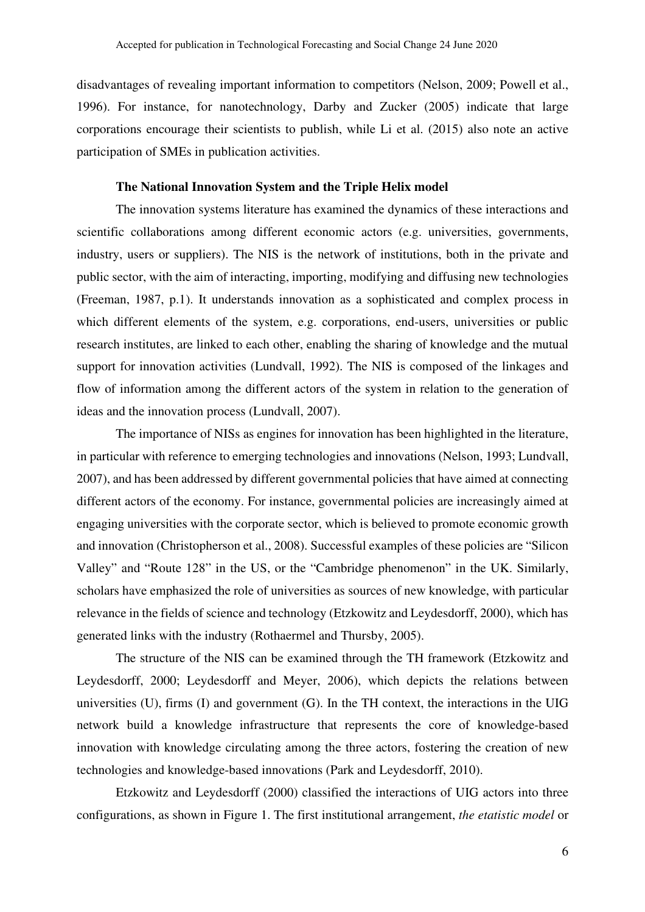disadvantages of revealing important information to competitors (Nelson, 2009; Powell et al., 1996). For instance, for nanotechnology, Darby and Zucker (2005) indicate that large corporations encourage their scientists to publish, while Li et al. (2015) also note an active participation of SMEs in publication activities.

### **The National Innovation System and the Triple Helix model**

The innovation systems literature has examined the dynamics of these interactions and scientific collaborations among different economic actors (e.g. universities, governments, industry, users or suppliers). The NIS is the network of institutions, both in the private and public sector, with the aim of interacting, importing, modifying and diffusing new technologies (Freeman, 1987, p.1). It understands innovation as a sophisticated and complex process in which different elements of the system, e.g. corporations, end-users, universities or public research institutes, are linked to each other, enabling the sharing of knowledge and the mutual support for innovation activities (Lundvall, 1992). The NIS is composed of the linkages and flow of information among the different actors of the system in relation to the generation of ideas and the innovation process (Lundvall, 2007).

The importance of NISs as engines for innovation has been highlighted in the literature, in particular with reference to emerging technologies and innovations (Nelson, 1993; Lundvall, 2007), and has been addressed by different governmental policies that have aimed at connecting different actors of the economy. For instance, governmental policies are increasingly aimed at engaging universities with the corporate sector, which is believed to promote economic growth and innovation (Christopherson et al., 2008). Successful examples of these policies are "Silicon Valley" and "Route 128" in the US, or the "Cambridge phenomenon" in the UK. Similarly, scholars have emphasized the role of universities as sources of new knowledge, with particular relevance in the fields of science and technology (Etzkowitz and Leydesdorff, 2000), which has generated links with the industry (Rothaermel and Thursby, 2005).

The structure of the NIS can be examined through the TH framework (Etzkowitz and Leydesdorff, 2000; Leydesdorff and Meyer, 2006), which depicts the relations between universities (U), firms (I) and government (G). In the TH context, the interactions in the UIG network build a knowledge infrastructure that represents the core of knowledge-based innovation with knowledge circulating among the three actors, fostering the creation of new technologies and knowledge-based innovations (Park and Leydesdorff, 2010).

Etzkowitz and Leydesdorff (2000) classified the interactions of UIG actors into three configurations, as shown in Figure 1. The first institutional arrangement, *the etatistic model* or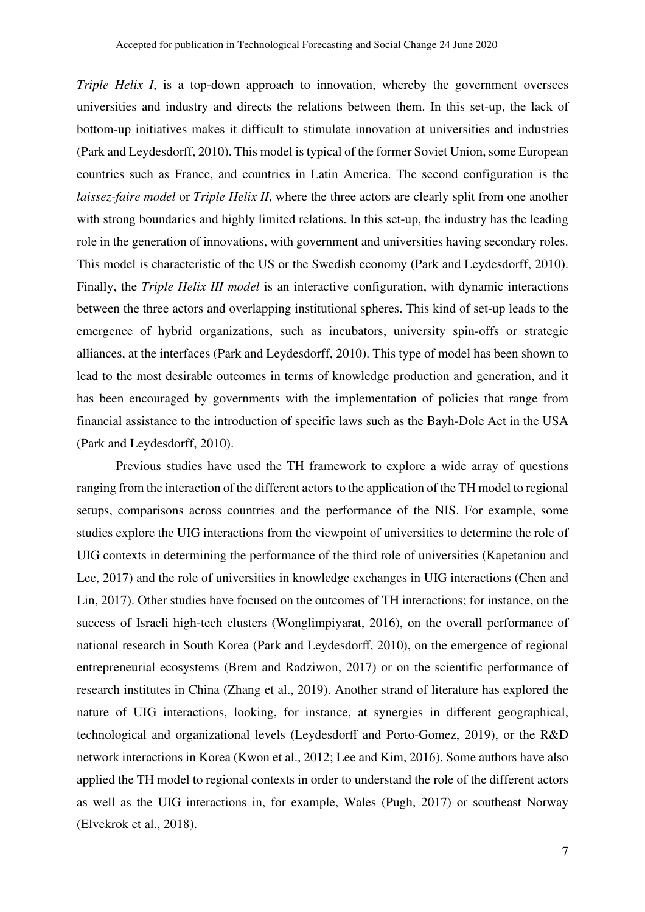*Triple Helix I*, is a top-down approach to innovation, whereby the government oversees universities and industry and directs the relations between them. In this set-up, the lack of bottom-up initiatives makes it difficult to stimulate innovation at universities and industries (Park and Leydesdorff, 2010). This model is typical of the former Soviet Union, some European countries such as France, and countries in Latin America. The second configuration is the *laissez-faire model* or *Triple Helix II*, where the three actors are clearly split from one another with strong boundaries and highly limited relations. In this set-up, the industry has the leading role in the generation of innovations, with government and universities having secondary roles. This model is characteristic of the US or the Swedish economy (Park and Leydesdorff, 2010). Finally, the *Triple Helix III model* is an interactive configuration, with dynamic interactions between the three actors and overlapping institutional spheres. This kind of set-up leads to the emergence of hybrid organizations, such as incubators, university spin-offs or strategic alliances, at the interfaces (Park and Leydesdorff, 2010). This type of model has been shown to lead to the most desirable outcomes in terms of knowledge production and generation, and it has been encouraged by governments with the implementation of policies that range from financial assistance to the introduction of specific laws such as the Bayh-Dole Act in the USA (Park and Leydesdorff, 2010).

Previous studies have used the TH framework to explore a wide array of questions ranging from the interaction of the different actors to the application of the TH model to regional setups, comparisons across countries and the performance of the NIS. For example, some studies explore the UIG interactions from the viewpoint of universities to determine the role of UIG contexts in determining the performance of the third role of universities (Kapetaniou and Lee, 2017) and the role of universities in knowledge exchanges in UIG interactions (Chen and Lin, 2017). Other studies have focused on the outcomes of TH interactions; for instance, on the success of Israeli high-tech clusters (Wonglimpiyarat, 2016), on the overall performance of national research in South Korea (Park and Leydesdorff, 2010), on the emergence of regional entrepreneurial ecosystems (Brem and Radziwon, 2017) or on the scientific performance of research institutes in China (Zhang et al., 2019). Another strand of literature has explored the nature of UIG interactions, looking, for instance, at synergies in different geographical, technological and organizational levels (Leydesdorff and Porto-Gomez, 2019), or the R&D network interactions in Korea (Kwon et al., 2012; Lee and Kim, 2016). Some authors have also applied the TH model to regional contexts in order to understand the role of the different actors as well as the UIG interactions in, for example, Wales (Pugh, 2017) or southeast Norway (Elvekrok et al., 2018).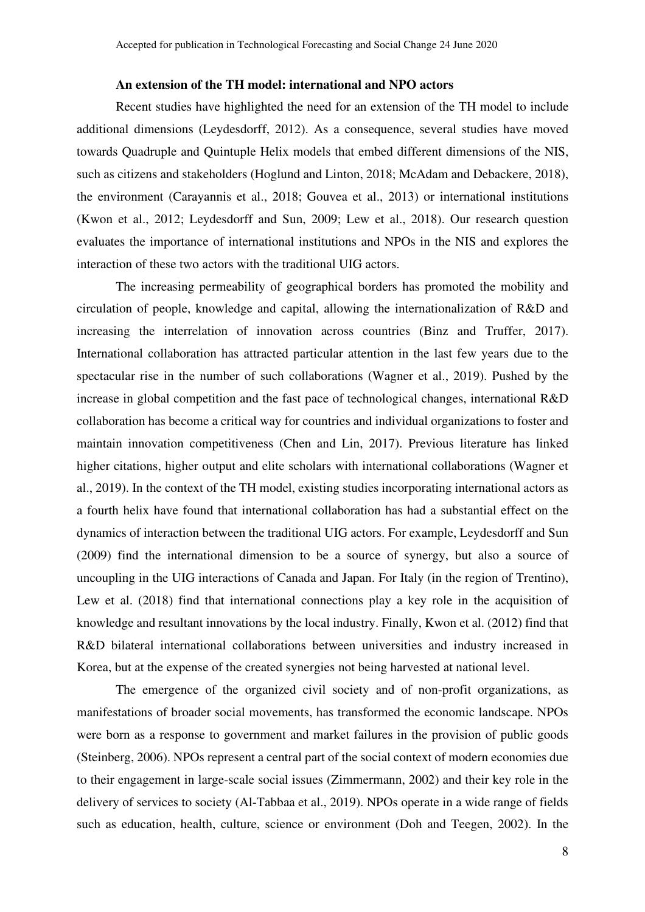## **An extension of the TH model: international and NPO actors**

Recent studies have highlighted the need for an extension of the TH model to include additional dimensions (Leydesdorff, 2012). As a consequence, several studies have moved towards Quadruple and Quintuple Helix models that embed different dimensions of the NIS, such as citizens and stakeholders (Hoglund and Linton, 2018; McAdam and Debackere, 2018), the environment (Carayannis et al., 2018; Gouvea et al., 2013) or international institutions (Kwon et al., 2012; Leydesdorff and Sun, 2009; Lew et al., 2018). Our research question evaluates the importance of international institutions and NPOs in the NIS and explores the interaction of these two actors with the traditional UIG actors.

The increasing permeability of geographical borders has promoted the mobility and circulation of people, knowledge and capital, allowing the internationalization of R&D and increasing the interrelation of innovation across countries (Binz and Truffer, 2017). International collaboration has attracted particular attention in the last few years due to the spectacular rise in the number of such collaborations (Wagner et al., 2019). Pushed by the increase in global competition and the fast pace of technological changes, international R&D collaboration has become a critical way for countries and individual organizations to foster and maintain innovation competitiveness (Chen and Lin, 2017). Previous literature has linked higher citations, higher output and elite scholars with international collaborations (Wagner et al., 2019). In the context of the TH model, existing studies incorporating international actors as a fourth helix have found that international collaboration has had a substantial effect on the dynamics of interaction between the traditional UIG actors. For example, Leydesdorff and Sun (2009) find the international dimension to be a source of synergy, but also a source of uncoupling in the UIG interactions of Canada and Japan. For Italy (in the region of Trentino), Lew et al. (2018) find that international connections play a key role in the acquisition of knowledge and resultant innovations by the local industry. Finally, Kwon et al. (2012) find that R&D bilateral international collaborations between universities and industry increased in Korea, but at the expense of the created synergies not being harvested at national level.

The emergence of the organized civil society and of non-profit organizations, as manifestations of broader social movements, has transformed the economic landscape. NPOs were born as a response to government and market failures in the provision of public goods (Steinberg, 2006). NPOs represent a central part of the social context of modern economies due to their engagement in large-scale social issues (Zimmermann, 2002) and their key role in the delivery of services to society (Al-Tabbaa et al., 2019). NPOs operate in a wide range of fields such as education, health, culture, science or environment (Doh and Teegen, 2002). In the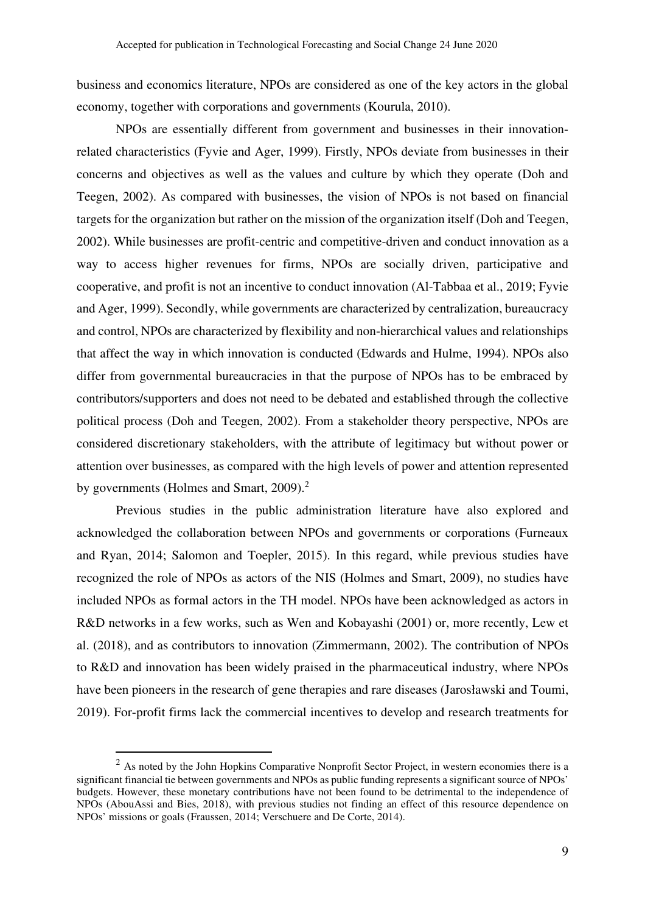business and economics literature, NPOs are considered as one of the key actors in the global economy, together with corporations and governments (Kourula, 2010).

NPOs are essentially different from government and businesses in their innovationrelated characteristics (Fyvie and Ager, 1999). Firstly, NPOs deviate from businesses in their concerns and objectives as well as the values and culture by which they operate (Doh and Teegen, 2002). As compared with businesses, the vision of NPOs is not based on financial targets for the organization but rather on the mission of the organization itself (Doh and Teegen, 2002). While businesses are profit-centric and competitive-driven and conduct innovation as a way to access higher revenues for firms, NPOs are socially driven, participative and cooperative, and profit is not an incentive to conduct innovation (Al-Tabbaa et al., 2019; Fyvie and Ager, 1999). Secondly, while governments are characterized by centralization, bureaucracy and control, NPOs are characterized by flexibility and non-hierarchical values and relationships that affect the way in which innovation is conducted (Edwards and Hulme, 1994). NPOs also differ from governmental bureaucracies in that the purpose of NPOs has to be embraced by contributors/supporters and does not need to be debated and established through the collective political process (Doh and Teegen, 2002). From a stakeholder theory perspective, NPOs are considered discretionary stakeholders, with the attribute of legitimacy but without power or attention over businesses, as compared with the high levels of power and attention represented by governments (Holmes and Smart, 2009).<sup>2</sup>

Previous studies in the public administration literature have also explored and acknowledged the collaboration between NPOs and governments or corporations (Furneaux and Ryan, 2014; Salomon and Toepler, 2015). In this regard, while previous studies have recognized the role of NPOs as actors of the NIS (Holmes and Smart, 2009), no studies have included NPOs as formal actors in the TH model. NPOs have been acknowledged as actors in R&D networks in a few works, such as Wen and Kobayashi (2001) or, more recently, Lew et al. (2018), and as contributors to innovation (Zimmermann, 2002). The contribution of NPOs to R&D and innovation has been widely praised in the pharmaceutical industry, where NPOs have been pioneers in the research of gene therapies and rare diseases (Jarosławski and Toumi, 2019). For-profit firms lack the commercial incentives to develop and research treatments for

 $2\,$  As noted by the John Hopkins Comparative Nonprofit Sector Project, in western economies there is a significant financial tie between governments and NPOs as public funding represents a significant source of NPOs' budgets. However, these monetary contributions have not been found to be detrimental to the independence of NPOs (AbouAssi and Bies, 2018), with previous studies not finding an effect of this resource dependence on NPOs' missions or goals (Fraussen, 2014; Verschuere and De Corte, 2014).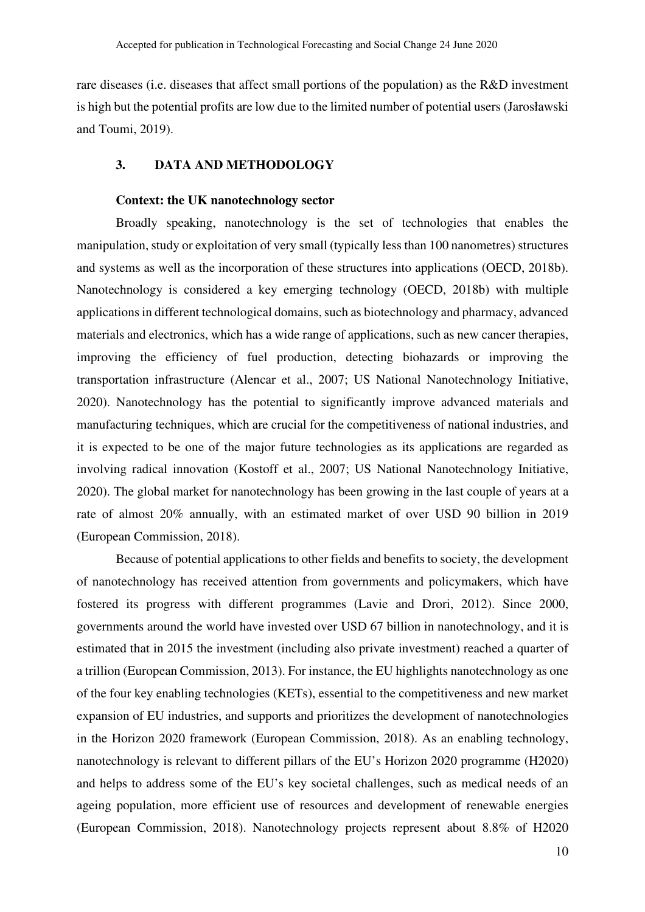rare diseases (i.e. diseases that affect small portions of the population) as the R&D investment is high but the potential profits are low due to the limited number of potential users (Jarosławski and Toumi, 2019).

#### **3. DATA AND METHODOLOGY**

#### **Context: the UK nanotechnology sector**

Broadly speaking, nanotechnology is the set of technologies that enables the manipulation, study or exploitation of very small (typically less than 100 nanometres) structures and systems as well as the incorporation of these structures into applications (OECD, 2018b). Nanotechnology is considered a key emerging technology (OECD, 2018b) with multiple applications in different technological domains, such as biotechnology and pharmacy, advanced materials and electronics, which has a wide range of applications, such as new cancer therapies, improving the efficiency of fuel production, detecting biohazards or improving the transportation infrastructure (Alencar et al., 2007; US National Nanotechnology Initiative, 2020). Nanotechnology has the potential to significantly improve advanced materials and manufacturing techniques, which are crucial for the competitiveness of national industries, and it is expected to be one of the major future technologies as its applications are regarded as involving radical innovation (Kostoff et al., 2007; US National Nanotechnology Initiative, 2020). The global market for nanotechnology has been growing in the last couple of years at a rate of almost 20% annually, with an estimated market of over USD 90 billion in 2019 (European Commission, 2018).

Because of potential applications to other fields and benefits to society, the development of nanotechnology has received attention from governments and policymakers, which have fostered its progress with different programmes (Lavie and Drori, 2012). Since 2000, governments around the world have invested over USD 67 billion in nanotechnology, and it is estimated that in 2015 the investment (including also private investment) reached a quarter of a trillion (European Commission, 2013). For instance, the EU highlights nanotechnology as one of the four key enabling technologies (KETs), essential to the competitiveness and new market expansion of EU industries, and supports and prioritizes the development of nanotechnologies in the Horizon 2020 framework (European Commission, 2018). As an enabling technology, nanotechnology is relevant to different pillars of the EU's Horizon 2020 programme (H2020) and helps to address some of the EU's key societal challenges, such as medical needs of an ageing population, more efficient use of resources and development of renewable energies (European Commission, 2018). Nanotechnology projects represent about 8.8% of H2020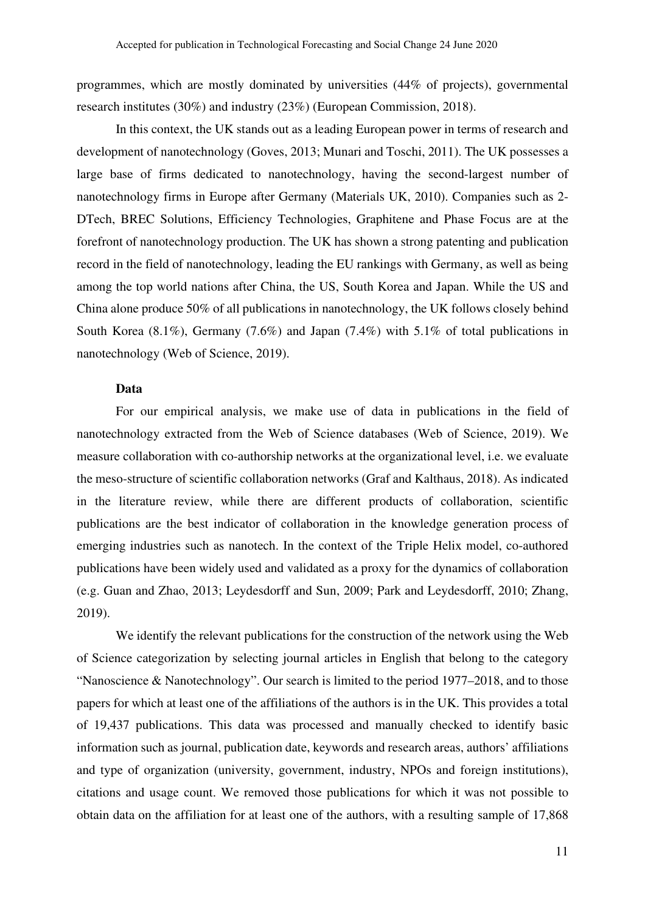programmes, which are mostly dominated by universities (44% of projects), governmental research institutes (30%) and industry (23%) (European Commission, 2018).

In this context, the UK stands out as a leading European power in terms of research and development of nanotechnology (Goves, 2013; Munari and Toschi, 2011). The UK possesses a large base of firms dedicated to nanotechnology, having the second-largest number of nanotechnology firms in Europe after Germany (Materials UK, 2010). Companies such as 2- DTech, BREC Solutions, Efficiency Technologies, Graphitene and Phase Focus are at the forefront of nanotechnology production. The UK has shown a strong patenting and publication record in the field of nanotechnology, leading the EU rankings with Germany, as well as being among the top world nations after China, the US, South Korea and Japan. While the US and China alone produce 50% of all publications in nanotechnology, the UK follows closely behind South Korea (8.1%), Germany (7.6%) and Japan (7.4%) with 5.1% of total publications in nanotechnology (Web of Science, 2019).

#### **Data**

For our empirical analysis, we make use of data in publications in the field of nanotechnology extracted from the Web of Science databases (Web of Science, 2019). We measure collaboration with co-authorship networks at the organizational level, i.e. we evaluate the meso-structure of scientific collaboration networks (Graf and Kalthaus, 2018). As indicated in the literature review, while there are different products of collaboration, scientific publications are the best indicator of collaboration in the knowledge generation process of emerging industries such as nanotech. In the context of the Triple Helix model, co-authored publications have been widely used and validated as a proxy for the dynamics of collaboration (e.g. Guan and Zhao, 2013; Leydesdorff and Sun, 2009; Park and Leydesdorff, 2010; Zhang, 2019).

We identify the relevant publications for the construction of the network using the Web of Science categorization by selecting journal articles in English that belong to the category "Nanoscience & Nanotechnology". Our search is limited to the period 1977–2018, and to those papers for which at least one of the affiliations of the authors is in the UK. This provides a total of 19,437 publications. This data was processed and manually checked to identify basic information such as journal, publication date, keywords and research areas, authors' affiliations and type of organization (university, government, industry, NPOs and foreign institutions), citations and usage count. We removed those publications for which it was not possible to obtain data on the affiliation for at least one of the authors, with a resulting sample of 17,868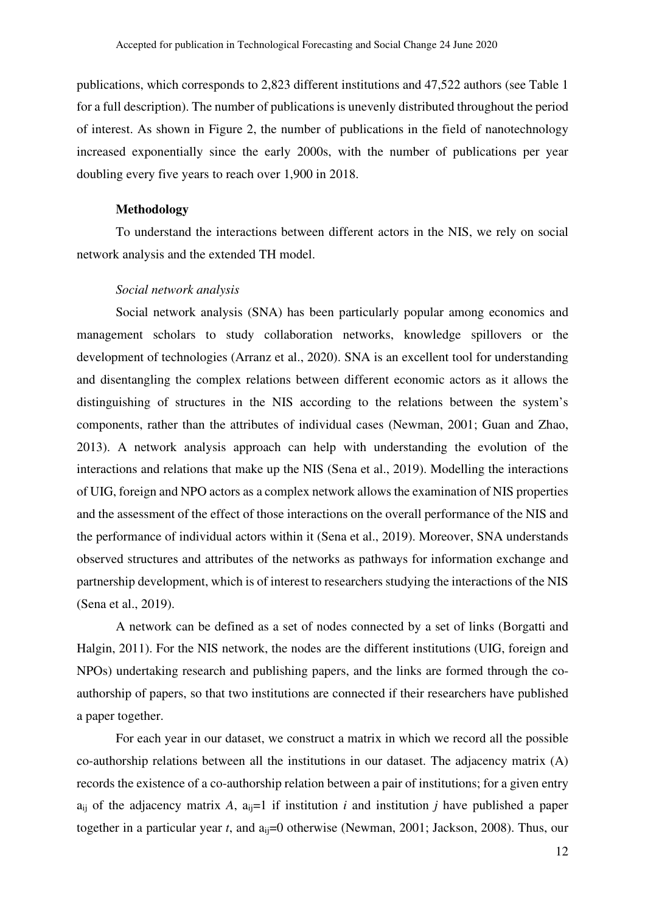publications, which corresponds to 2,823 different institutions and 47,522 authors (see Table 1 for a full description). The number of publications is unevenly distributed throughout the period of interest. As shown in Figure 2, the number of publications in the field of nanotechnology increased exponentially since the early 2000s, with the number of publications per year doubling every five years to reach over 1,900 in 2018.

### **Methodology**

To understand the interactions between different actors in the NIS, we rely on social network analysis and the extended TH model.

#### *Social network analysis*

Social network analysis (SNA) has been particularly popular among economics and management scholars to study collaboration networks, knowledge spillovers or the development of technologies (Arranz et al., 2020). SNA is an excellent tool for understanding and disentangling the complex relations between different economic actors as it allows the distinguishing of structures in the NIS according to the relations between the system's components, rather than the attributes of individual cases (Newman, 2001; Guan and Zhao, 2013). A network analysis approach can help with understanding the evolution of the interactions and relations that make up the NIS (Sena et al., 2019). Modelling the interactions of UIG, foreign and NPO actors as a complex network allows the examination of NIS properties and the assessment of the effect of those interactions on the overall performance of the NIS and the performance of individual actors within it (Sena et al., 2019). Moreover, SNA understands observed structures and attributes of the networks as pathways for information exchange and partnership development, which is of interest to researchers studying the interactions of the NIS (Sena et al., 2019).

A network can be defined as a set of nodes connected by a set of links (Borgatti and Halgin, 2011). For the NIS network, the nodes are the different institutions (UIG, foreign and NPOs) undertaking research and publishing papers, and the links are formed through the coauthorship of papers, so that two institutions are connected if their researchers have published a paper together.

For each year in our dataset, we construct a matrix in which we record all the possible co-authorship relations between all the institutions in our dataset. The adjacency matrix (A) records the existence of a co-authorship relation between a pair of institutions; for a given entry  $a_{ii}$  of the adjacency matrix *A*,  $a_{ii}=1$  if institution *i* and institution *j* have published a paper together in a particular year *t*, and a<sub>ij</sub>=0 otherwise (Newman, 2001; Jackson, 2008). Thus, our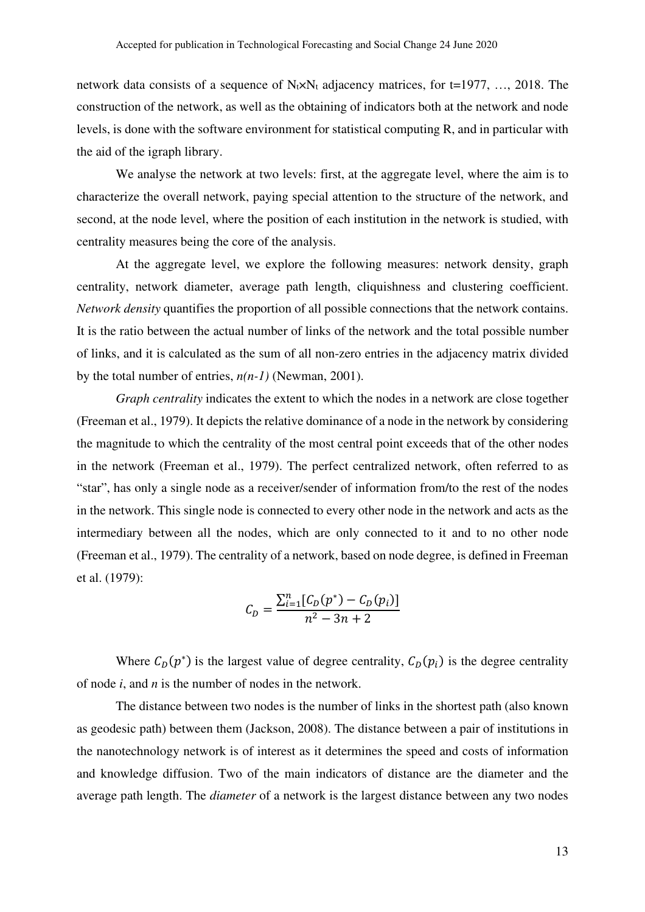network data consists of a sequence of  $N_t \times N_t$  adjacency matrices, for t=1977, …, 2018. The construction of the network, as well as the obtaining of indicators both at the network and node levels, is done with the software environment for statistical computing R, and in particular with the aid of the igraph library.

We analyse the network at two levels: first, at the aggregate level, where the aim is to characterize the overall network, paying special attention to the structure of the network, and second, at the node level, where the position of each institution in the network is studied, with centrality measures being the core of the analysis.

At the aggregate level, we explore the following measures: network density, graph centrality, network diameter, average path length, cliquishness and clustering coefficient. *Network density* quantifies the proportion of all possible connections that the network contains. It is the ratio between the actual number of links of the network and the total possible number of links, and it is calculated as the sum of all non-zero entries in the adjacency matrix divided by the total number of entries, *n(n-1)* (Newman, 2001).

*Graph centrality* indicates the extent to which the nodes in a network are close together (Freeman et al., 1979). It depicts the relative dominance of a node in the network by considering the magnitude to which the centrality of the most central point exceeds that of the other nodes in the network (Freeman et al., 1979). The perfect centralized network, often referred to as "star", has only a single node as a receiver/sender of information from/to the rest of the nodes in the network. This single node is connected to every other node in the network and acts as the intermediary between all the nodes, which are only connected to it and to no other node (Freeman et al., 1979). The centrality of a network, based on node degree, is defined in Freeman et al. (1979):

$$
C_D = \frac{\sum_{i=1}^{n} [C_D(p^*) - C_D(p_i)]}{n^2 - 3n + 2}
$$

Where  $C_D(p^*)$  is the largest value of degree centrality,  $C_D(p_i)$  is the degree centrality of node *i*, and *n* is the number of nodes in the network.

The distance between two nodes is the number of links in the shortest path (also known as geodesic path) between them (Jackson, 2008). The distance between a pair of institutions in the nanotechnology network is of interest as it determines the speed and costs of information and knowledge diffusion. Two of the main indicators of distance are the diameter and the average path length. The *diameter* of a network is the largest distance between any two nodes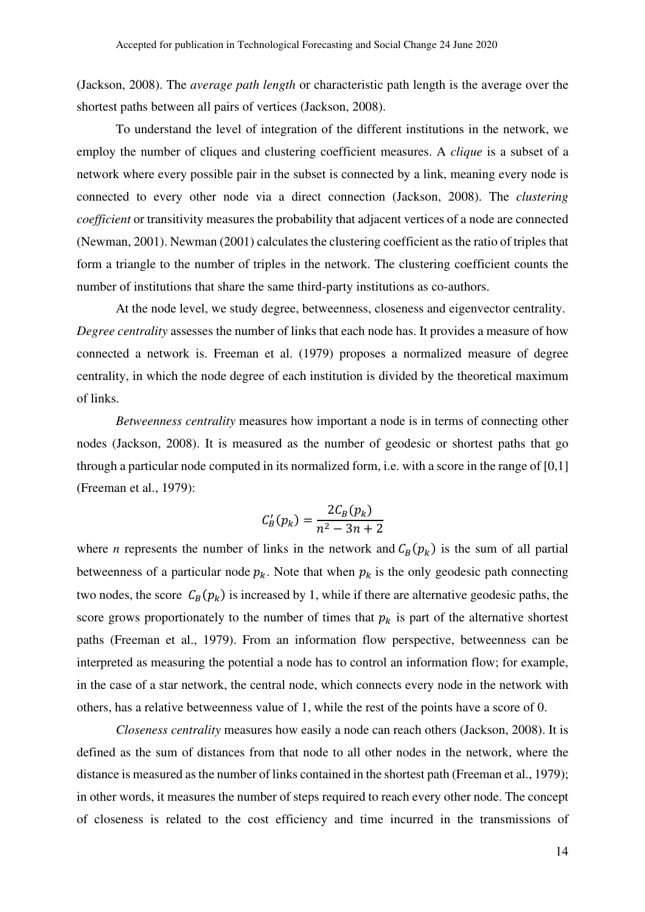(Jackson, 2008). The *average path length* or characteristic path length is the average over the shortest paths between all pairs of vertices (Jackson, 2008).

To understand the level of integration of the different institutions in the network, we employ the number of cliques and clustering coefficient measures. A *clique* is a subset of a network where every possible pair in the subset is connected by a link, meaning every node is connected to every other node via a direct connection (Jackson, 2008). The *clustering coefficient* or transitivity measures the probability that adjacent vertices of a node are connected (Newman, 2001). Newman (2001) calculates the clustering coefficient as the ratio of triples that form a triangle to the number of triples in the network. The clustering coefficient counts the number of institutions that share the same third-party institutions as co-authors.

At the node level, we study degree, betweenness, closeness and eigenvector centrality. *Degree centrality* assesses the number of links that each node has. It provides a measure of how connected a network is. Freeman et al. (1979) proposes a normalized measure of degree centrality, in which the node degree of each institution is divided by the theoretical maximum of links.

*Betweenness centrality* measures how important a node is in terms of connecting other nodes (Jackson, 2008). It is measured as the number of geodesic or shortest paths that go through a particular node computed in its normalized form, i.e. with a score in the range of [0,1] (Freeman et al., 1979):

$$
C'_B(p_k) = \frac{2C_B(p_k)}{n^2 - 3n + 2}
$$

where *n* represents the number of links in the network and  $C_B(p_k)$  is the sum of all partial betweenness of a particular node  $p_k$ . Note that when  $p_k$  is the only geodesic path connecting two nodes, the score  $C_B(p_k)$  is increased by 1, while if there are alternative geodesic paths, the score grows proportionately to the number of times that  $p_k$  is part of the alternative shortest paths (Freeman et al., 1979). From an information flow perspective, betweenness can be interpreted as measuring the potential a node has to control an information flow; for example, in the case of a star network, the central node, which connects every node in the network with others, has a relative betweenness value of 1, while the rest of the points have a score of 0.

*Closeness centrality* measures how easily a node can reach others (Jackson, 2008). It is defined as the sum of distances from that node to all other nodes in the network, where the distance is measured as the number of links contained in the shortest path (Freeman et al., 1979); in other words, it measures the number of steps required to reach every other node. The concept of closeness is related to the cost efficiency and time incurred in the transmissions of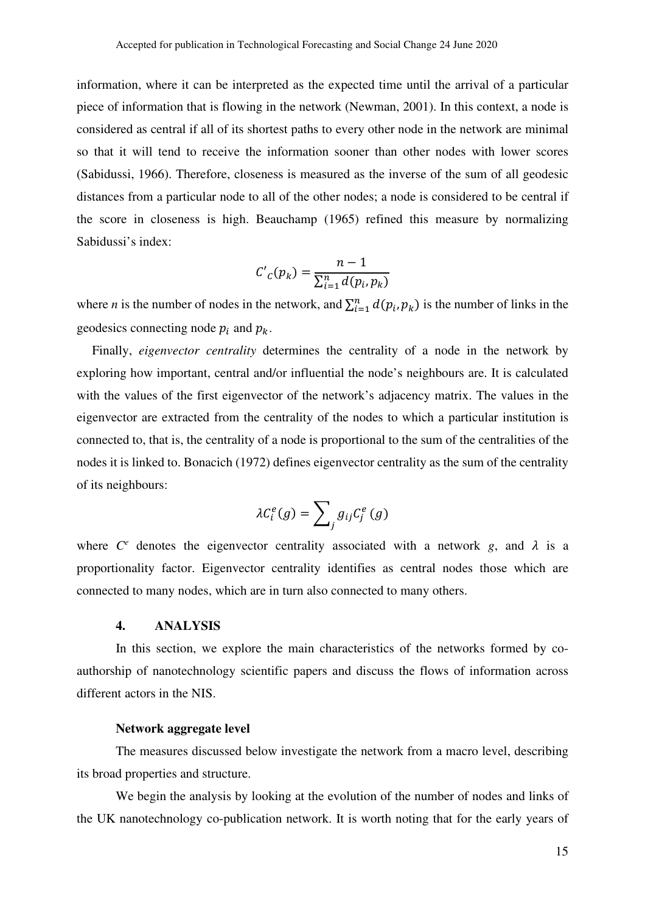information, where it can be interpreted as the expected time until the arrival of a particular piece of information that is flowing in the network (Newman, 2001). In this context, a node is considered as central if all of its shortest paths to every other node in the network are minimal so that it will tend to receive the information sooner than other nodes with lower scores (Sabidussi, 1966). Therefore, closeness is measured as the inverse of the sum of all geodesic distances from a particular node to all of the other nodes; a node is considered to be central if the score in closeness is high. Beauchamp (1965) refined this measure by normalizing Sabidussi's index:

$$
C'_{c}(p_k) = \frac{n-1}{\sum_{i=1}^{n} d(p_i, p_k)}
$$

where *n* is the number of nodes in the network, and  $\sum_{i=1}^{n} d(p_i, p_k)$  is the number of links in the geodesics connecting node  $p_i$  and  $p_k$ .

Finally, *eigenvector centrality* determines the centrality of a node in the network by exploring how important, central and/or influential the node's neighbours are. It is calculated with the values of the first eigenvector of the network's adjacency matrix. The values in the eigenvector are extracted from the centrality of the nodes to which a particular institution is connected to, that is, the centrality of a node is proportional to the sum of the centralities of the nodes it is linked to. Bonacich (1972) defines eigenvector centrality as the sum of the centrality of its neighbours:

$$
\lambda \mathcal{C}^e_i(g) = \sum\nolimits_j g_{ij} \mathcal{C}^e_j(g)
$$

where  $C^e$  denotes the eigenvector centrality associated with a network *g*, and  $\lambda$  is a proportionality factor. Eigenvector centrality identifies as central nodes those which are connected to many nodes, which are in turn also connected to many others.

### **4. ANALYSIS**

In this section, we explore the main characteristics of the networks formed by coauthorship of nanotechnology scientific papers and discuss the flows of information across different actors in the NIS.

#### **Network aggregate level**

The measures discussed below investigate the network from a macro level, describing its broad properties and structure.

We begin the analysis by looking at the evolution of the number of nodes and links of the UK nanotechnology co-publication network. It is worth noting that for the early years of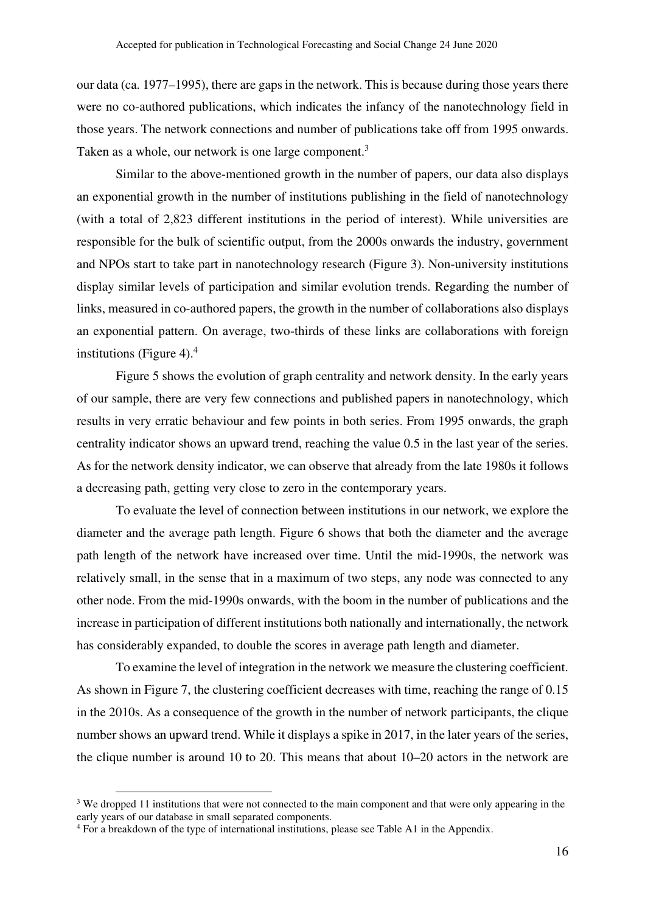our data (ca. 1977–1995), there are gaps in the network. This is because during those years there were no co-authored publications, which indicates the infancy of the nanotechnology field in those years. The network connections and number of publications take off from 1995 onwards. Taken as a whole, our network is one large component.<sup>3</sup>

Similar to the above-mentioned growth in the number of papers, our data also displays an exponential growth in the number of institutions publishing in the field of nanotechnology (with a total of 2,823 different institutions in the period of interest). While universities are responsible for the bulk of scientific output, from the 2000s onwards the industry, government and NPOs start to take part in nanotechnology research (Figure 3). Non-university institutions display similar levels of participation and similar evolution trends. Regarding the number of links, measured in co-authored papers, the growth in the number of collaborations also displays an exponential pattern. On average, two-thirds of these links are collaborations with foreign institutions (Figure 4). $4$ 

Figure 5 shows the evolution of graph centrality and network density. In the early years of our sample, there are very few connections and published papers in nanotechnology, which results in very erratic behaviour and few points in both series. From 1995 onwards, the graph centrality indicator shows an upward trend, reaching the value 0.5 in the last year of the series. As for the network density indicator, we can observe that already from the late 1980s it follows a decreasing path, getting very close to zero in the contemporary years.

To evaluate the level of connection between institutions in our network, we explore the diameter and the average path length. Figure 6 shows that both the diameter and the average path length of the network have increased over time. Until the mid-1990s, the network was relatively small, in the sense that in a maximum of two steps, any node was connected to any other node. From the mid-1990s onwards, with the boom in the number of publications and the increase in participation of different institutions both nationally and internationally, the network has considerably expanded, to double the scores in average path length and diameter.

To examine the level of integration in the network we measure the clustering coefficient. As shown in Figure 7, the clustering coefficient decreases with time, reaching the range of 0.15 in the 2010s. As a consequence of the growth in the number of network participants, the clique number shows an upward trend. While it displays a spike in 2017, in the later years of the series, the clique number is around 10 to 20. This means that about 10–20 actors in the network are

<sup>&</sup>lt;sup>3</sup> We dropped 11 institutions that were not connected to the main component and that were only appearing in the early years of our database in small separated components.

<sup>&</sup>lt;sup>4</sup> For a breakdown of the type of international institutions, please see Table A1 in the Appendix.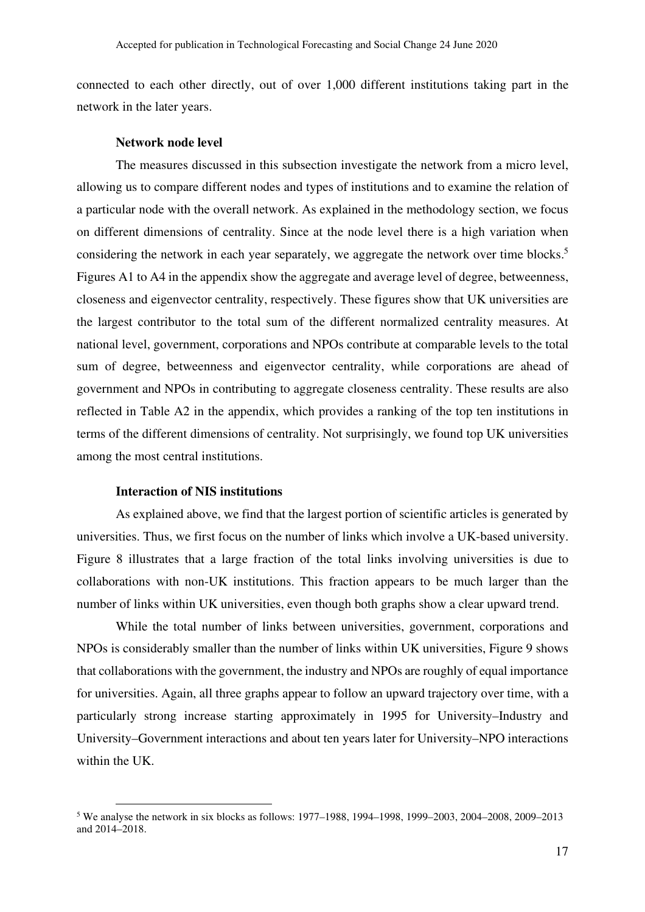connected to each other directly, out of over 1,000 different institutions taking part in the network in the later years.

#### **Network node level**

The measures discussed in this subsection investigate the network from a micro level, allowing us to compare different nodes and types of institutions and to examine the relation of a particular node with the overall network. As explained in the methodology section, we focus on different dimensions of centrality. Since at the node level there is a high variation when considering the network in each year separately, we aggregate the network over time blocks.<sup>5</sup> Figures A1 to A4 in the appendix show the aggregate and average level of degree, betweenness, closeness and eigenvector centrality, respectively. These figures show that UK universities are the largest contributor to the total sum of the different normalized centrality measures. At national level, government, corporations and NPOs contribute at comparable levels to the total sum of degree, betweenness and eigenvector centrality, while corporations are ahead of government and NPOs in contributing to aggregate closeness centrality. These results are also reflected in Table A2 in the appendix, which provides a ranking of the top ten institutions in terms of the different dimensions of centrality. Not surprisingly, we found top UK universities among the most central institutions.

#### **Interaction of NIS institutions**

As explained above, we find that the largest portion of scientific articles is generated by universities. Thus, we first focus on the number of links which involve a UK-based university. Figure 8 illustrates that a large fraction of the total links involving universities is due to collaborations with non-UK institutions. This fraction appears to be much larger than the number of links within UK universities, even though both graphs show a clear upward trend.

While the total number of links between universities, government, corporations and NPOs is considerably smaller than the number of links within UK universities, Figure 9 shows that collaborations with the government, the industry and NPOs are roughly of equal importance for universities. Again, all three graphs appear to follow an upward trajectory over time, with a particularly strong increase starting approximately in 1995 for University–Industry and University–Government interactions and about ten years later for University–NPO interactions within the UK.

<sup>&</sup>lt;sup>5</sup> We analyse the network in six blocks as follows: 1977–1988, 1994–1998, 1999–2003, 2004–2008, 2009–2013 and 2014–2018.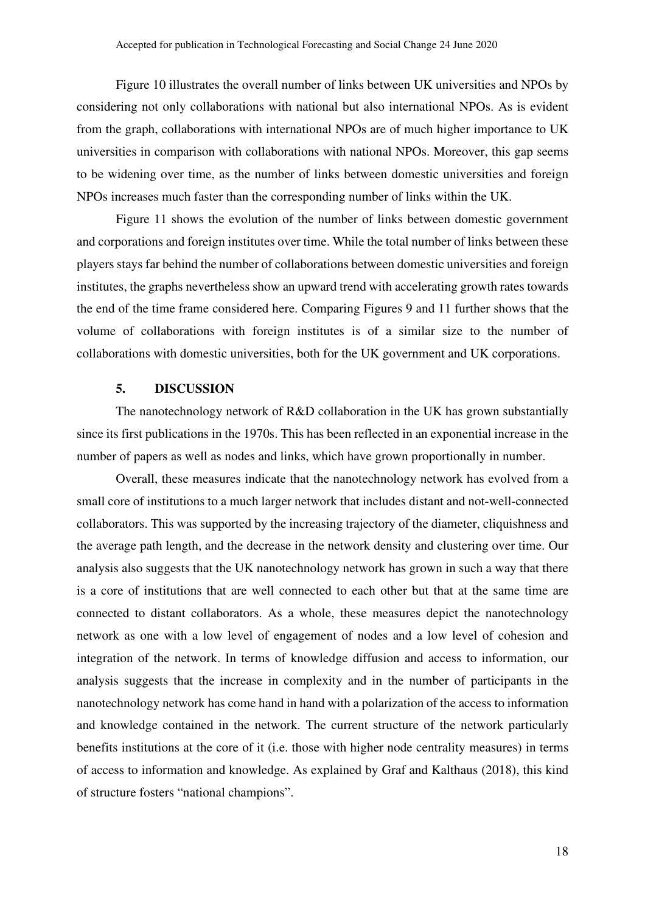Figure 10 illustrates the overall number of links between UK universities and NPOs by considering not only collaborations with national but also international NPOs. As is evident from the graph, collaborations with international NPOs are of much higher importance to UK universities in comparison with collaborations with national NPOs. Moreover, this gap seems to be widening over time, as the number of links between domestic universities and foreign NPOs increases much faster than the corresponding number of links within the UK.

Figure 11 shows the evolution of the number of links between domestic government and corporations and foreign institutes over time. While the total number of links between these players stays far behind the number of collaborations between domestic universities and foreign institutes, the graphs nevertheless show an upward trend with accelerating growth rates towards the end of the time frame considered here. Comparing Figures 9 and 11 further shows that the volume of collaborations with foreign institutes is of a similar size to the number of collaborations with domestic universities, both for the UK government and UK corporations.

### **5. DISCUSSION**

The nanotechnology network of R&D collaboration in the UK has grown substantially since its first publications in the 1970s. This has been reflected in an exponential increase in the number of papers as well as nodes and links, which have grown proportionally in number.

Overall, these measures indicate that the nanotechnology network has evolved from a small core of institutions to a much larger network that includes distant and not-well-connected collaborators. This was supported by the increasing trajectory of the diameter, cliquishness and the average path length, and the decrease in the network density and clustering over time. Our analysis also suggests that the UK nanotechnology network has grown in such a way that there is a core of institutions that are well connected to each other but that at the same time are connected to distant collaborators. As a whole, these measures depict the nanotechnology network as one with a low level of engagement of nodes and a low level of cohesion and integration of the network. In terms of knowledge diffusion and access to information, our analysis suggests that the increase in complexity and in the number of participants in the nanotechnology network has come hand in hand with a polarization of the access to information and knowledge contained in the network. The current structure of the network particularly benefits institutions at the core of it (i.e. those with higher node centrality measures) in terms of access to information and knowledge. As explained by Graf and Kalthaus (2018), this kind of structure fosters "national champions".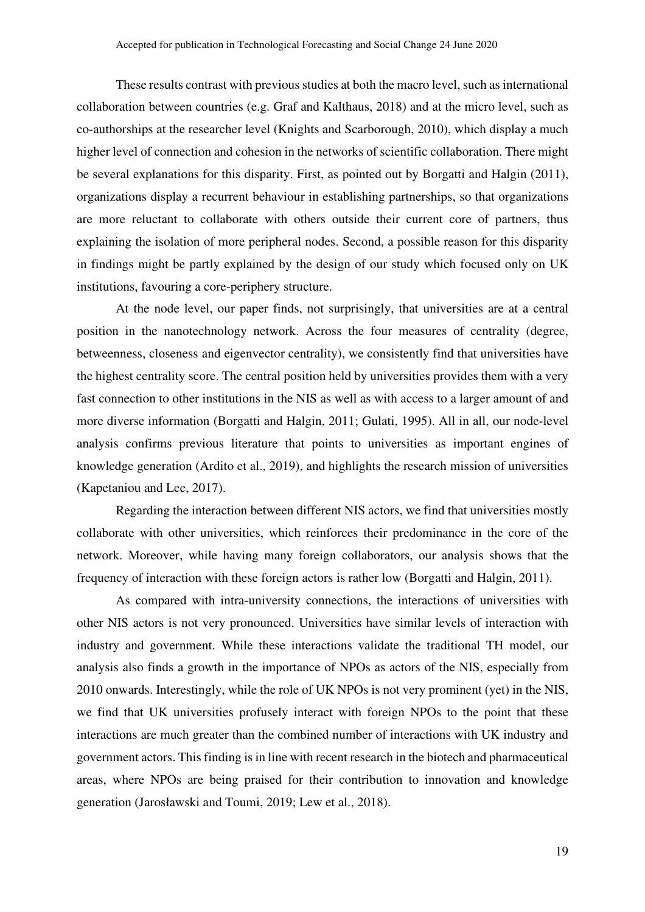These results contrast with previous studies at both the macro level, such as international collaboration between countries (e.g. Graf and Kalthaus, 2018) and at the micro level, such as co-authorships at the researcher level (Knights and Scarborough, 2010), which display a much higher level of connection and cohesion in the networks of scientific collaboration. There might be several explanations for this disparity. First, as pointed out by Borgatti and Halgin (2011), organizations display a recurrent behaviour in establishing partnerships, so that organizations are more reluctant to collaborate with others outside their current core of partners, thus explaining the isolation of more peripheral nodes. Second, a possible reason for this disparity in findings might be partly explained by the design of our study which focused only on UK institutions, favouring a core-periphery structure.

At the node level, our paper finds, not surprisingly, that universities are at a central position in the nanotechnology network. Across the four measures of centrality (degree, betweenness, closeness and eigenvector centrality), we consistently find that universities have the highest centrality score. The central position held by universities provides them with a very fast connection to other institutions in the NIS as well as with access to a larger amount of and more diverse information (Borgatti and Halgin, 2011; Gulati, 1995). All in all, our node-level analysis confirms previous literature that points to universities as important engines of knowledge generation (Ardito et al., 2019), and highlights the research mission of universities (Kapetaniou and Lee, 2017).

Regarding the interaction between different NIS actors, we find that universities mostly collaborate with other universities, which reinforces their predominance in the core of the network. Moreover, while having many foreign collaborators, our analysis shows that the frequency of interaction with these foreign actors is rather low (Borgatti and Halgin, 2011).

As compared with intra-university connections, the interactions of universities with other NIS actors is not very pronounced. Universities have similar levels of interaction with industry and government. While these interactions validate the traditional TH model, our analysis also finds a growth in the importance of NPOs as actors of the NIS, especially from 2010 onwards. Interestingly, while the role of UK NPOs is not very prominent (yet) in the NIS, we find that UK universities profusely interact with foreign NPOs to the point that these interactions are much greater than the combined number of interactions with UK industry and government actors. This finding is in line with recent research in the biotech and pharmaceutical areas, where NPOs are being praised for their contribution to innovation and knowledge generation (Jarosławski and Toumi, 2019; Lew et al., 2018).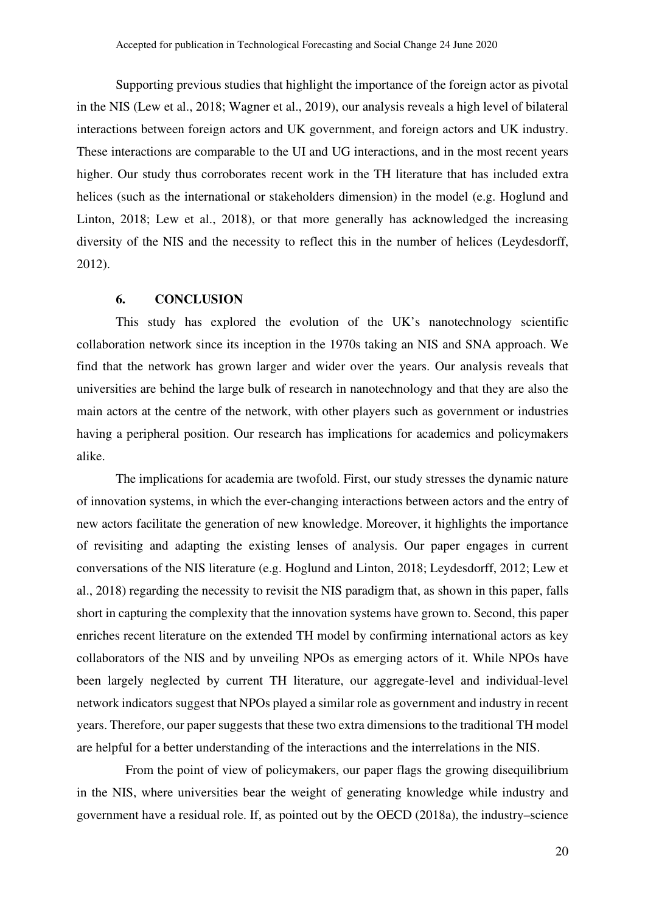Supporting previous studies that highlight the importance of the foreign actor as pivotal in the NIS (Lew et al., 2018; Wagner et al., 2019), our analysis reveals a high level of bilateral interactions between foreign actors and UK government, and foreign actors and UK industry. These interactions are comparable to the UI and UG interactions, and in the most recent years higher. Our study thus corroborates recent work in the TH literature that has included extra helices (such as the international or stakeholders dimension) in the model (e.g. Hoglund and Linton, 2018; Lew et al., 2018), or that more generally has acknowledged the increasing diversity of the NIS and the necessity to reflect this in the number of helices (Leydesdorff, 2012).

## **6. CONCLUSION**

This study has explored the evolution of the UK's nanotechnology scientific collaboration network since its inception in the 1970s taking an NIS and SNA approach. We find that the network has grown larger and wider over the years. Our analysis reveals that universities are behind the large bulk of research in nanotechnology and that they are also the main actors at the centre of the network, with other players such as government or industries having a peripheral position. Our research has implications for academics and policymakers alike.

The implications for academia are twofold. First, our study stresses the dynamic nature of innovation systems, in which the ever-changing interactions between actors and the entry of new actors facilitate the generation of new knowledge. Moreover, it highlights the importance of revisiting and adapting the existing lenses of analysis. Our paper engages in current conversations of the NIS literature (e.g. Hoglund and Linton, 2018; Leydesdorff, 2012; Lew et al., 2018) regarding the necessity to revisit the NIS paradigm that, as shown in this paper, falls short in capturing the complexity that the innovation systems have grown to. Second, this paper enriches recent literature on the extended TH model by confirming international actors as key collaborators of the NIS and by unveiling NPOs as emerging actors of it. While NPOs have been largely neglected by current TH literature, our aggregate-level and individual-level network indicators suggest that NPOs played a similar role as government and industry in recent years. Therefore, our paper suggests that these two extra dimensions to the traditional TH model are helpful for a better understanding of the interactions and the interrelations in the NIS.

 From the point of view of policymakers, our paper flags the growing disequilibrium in the NIS, where universities bear the weight of generating knowledge while industry and government have a residual role. If, as pointed out by the OECD (2018a), the industry–science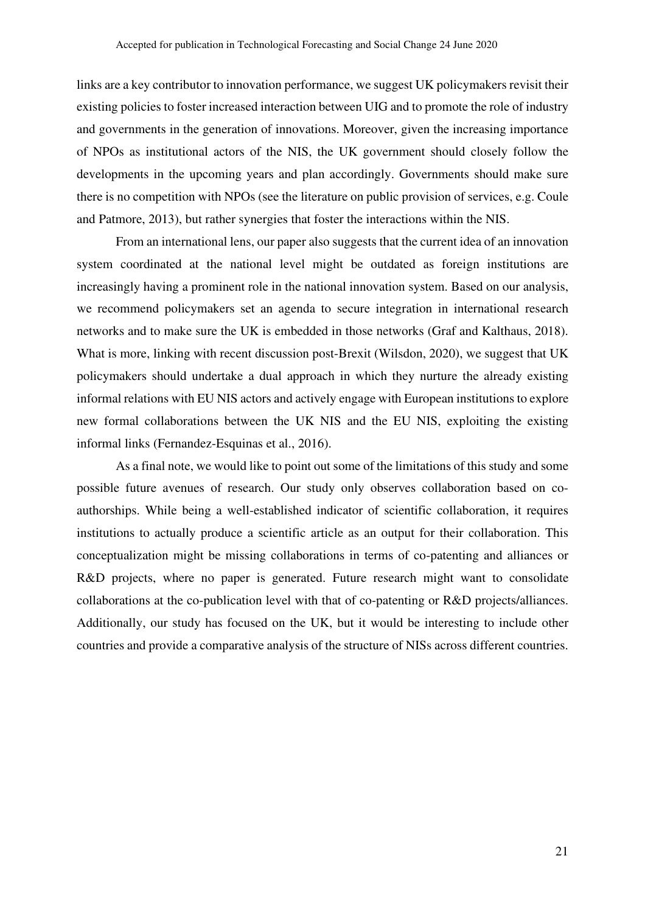links are a key contributor to innovation performance, we suggest UK policymakers revisit their existing policies to foster increased interaction between UIG and to promote the role of industry and governments in the generation of innovations. Moreover, given the increasing importance of NPOs as institutional actors of the NIS, the UK government should closely follow the developments in the upcoming years and plan accordingly. Governments should make sure there is no competition with NPOs (see the literature on public provision of services, e.g. Coule and Patmore, 2013), but rather synergies that foster the interactions within the NIS.

From an international lens, our paper also suggests that the current idea of an innovation system coordinated at the national level might be outdated as foreign institutions are increasingly having a prominent role in the national innovation system. Based on our analysis, we recommend policymakers set an agenda to secure integration in international research networks and to make sure the UK is embedded in those networks (Graf and Kalthaus, 2018). What is more, linking with recent discussion post-Brexit (Wilsdon, 2020), we suggest that UK policymakers should undertake a dual approach in which they nurture the already existing informal relations with EU NIS actors and actively engage with European institutions to explore new formal collaborations between the UK NIS and the EU NIS, exploiting the existing informal links (Fernandez-Esquinas et al., 2016).

As a final note, we would like to point out some of the limitations of this study and some possible future avenues of research. Our study only observes collaboration based on coauthorships. While being a well-established indicator of scientific collaboration, it requires institutions to actually produce a scientific article as an output for their collaboration. This conceptualization might be missing collaborations in terms of co-patenting and alliances or R&D projects, where no paper is generated. Future research might want to consolidate collaborations at the co-publication level with that of co-patenting or R&D projects/alliances. Additionally, our study has focused on the UK, but it would be interesting to include other countries and provide a comparative analysis of the structure of NISs across different countries.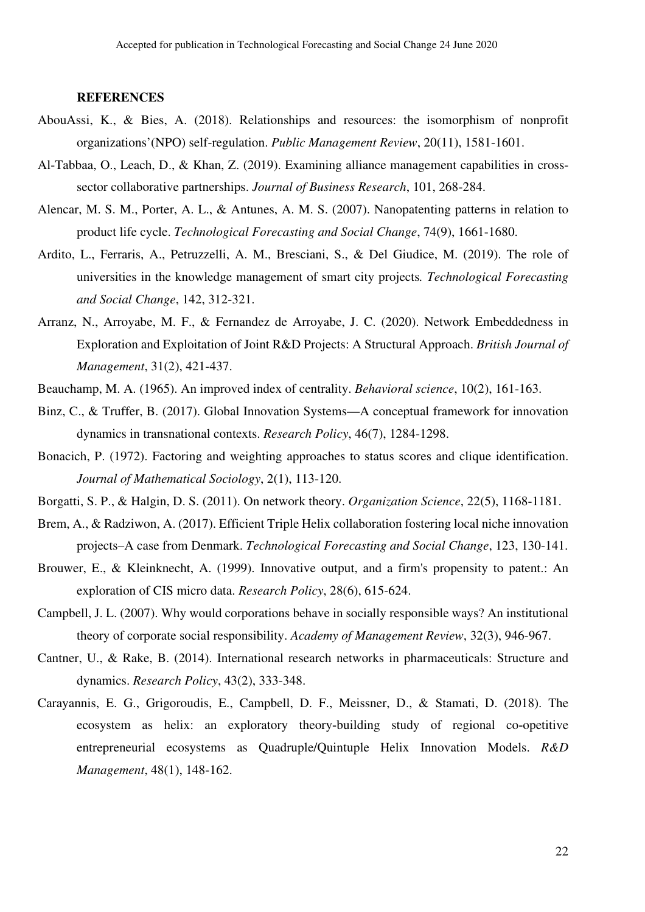#### **REFERENCES**

- AbouAssi, K., & Bies, A. (2018). Relationships and resources: the isomorphism of nonprofit organizations'(NPO) self-regulation. *Public Management Review*, 20(11), 1581-1601.
- Al-Tabbaa, O., Leach, D., & Khan, Z. (2019). Examining alliance management capabilities in crosssector collaborative partnerships. *Journal of Business Research*, 101, 268-284.
- Alencar, M. S. M., Porter, A. L., & Antunes, A. M. S. (2007). Nanopatenting patterns in relation to product life cycle. *Technological Forecasting and Social Change*, 74(9), 1661-1680.
- Ardito, L., Ferraris, A., Petruzzelli, A. M., Bresciani, S., & Del Giudice, M. (2019). The role of universities in the knowledge management of smart city projects*. Technological Forecasting and Social Change*, 142, 312-321.
- Arranz, N., Arroyabe, M. F., & Fernandez de Arroyabe, J. C. (2020). Network Embeddedness in Exploration and Exploitation of Joint R&D Projects: A Structural Approach. *British Journal of Management*, 31(2), 421-437.
- Beauchamp, M. A. (1965). An improved index of centrality. *Behavioral science*, 10(2), 161-163.
- Binz, C., & Truffer, B. (2017). Global Innovation Systems—A conceptual framework for innovation dynamics in transnational contexts. *Research Policy*, 46(7), 1284-1298.
- Bonacich, P. (1972). Factoring and weighting approaches to status scores and clique identification. *Journal of Mathematical Sociology*, 2(1), 113-120.
- Borgatti, S. P., & Halgin, D. S. (2011). On network theory. *Organization Science*, 22(5), 1168-1181.
- Brem, A., & Radziwon, A. (2017). Efficient Triple Helix collaboration fostering local niche innovation projects–A case from Denmark. *Technological Forecasting and Social Change*, 123, 130-141.
- Brouwer, E., & Kleinknecht, A. (1999). Innovative output, and a firm's propensity to patent.: An exploration of CIS micro data. *Research Policy*, 28(6), 615-624.
- Campbell, J. L. (2007). Why would corporations behave in socially responsible ways? An institutional theory of corporate social responsibility. *Academy of Management Review*, 32(3), 946-967.
- Cantner, U., & Rake, B. (2014). International research networks in pharmaceuticals: Structure and dynamics. *Research Policy*, 43(2), 333-348.
- Carayannis, E. G., Grigoroudis, E., Campbell, D. F., Meissner, D., & Stamati, D. (2018). The ecosystem as helix: an exploratory theory-building study of regional co-opetitive entrepreneurial ecosystems as Quadruple/Quintuple Helix Innovation Models. *R&D Management*, 48(1), 148-162.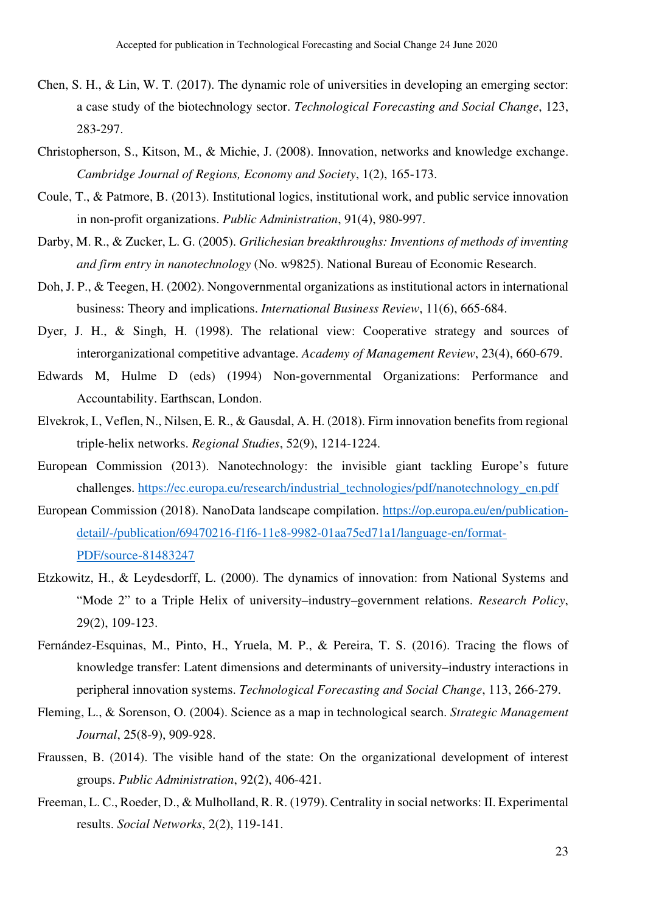- Chen, S. H., & Lin, W. T. (2017). The dynamic role of universities in developing an emerging sector: a case study of the biotechnology sector. *Technological Forecasting and Social Change*, 123, 283-297.
- Christopherson, S., Kitson, M., & Michie, J. (2008). Innovation, networks and knowledge exchange. *Cambridge Journal of Regions, Economy and Society*, 1(2), 165-173.
- Coule, T., & Patmore, B. (2013). Institutional logics, institutional work, and public service innovation in non‐profit organizations. *Public Administration*, 91(4), 980-997.
- Darby, M. R., & Zucker, L. G. (2005). *Grilichesian breakthroughs: Inventions of methods of inventing and firm entry in nanotechnology* (No. w9825). National Bureau of Economic Research.
- Doh, J. P., & Teegen, H. (2002). Nongovernmental organizations as institutional actors in international business: Theory and implications. *International Business Review*, 11(6), 665-684.
- Dyer, J. H., & Singh, H. (1998). The relational view: Cooperative strategy and sources of interorganizational competitive advantage. *Academy of Management Review*, 23(4), 660-679.
- Edwards M, Hulme D (eds) (1994) Non‐governmental Organizations: Performance and Accountability. Earthscan, London.
- Elvekrok, I., Veflen, N., Nilsen, E. R., & Gausdal, A. H. (2018). Firm innovation benefits from regional triple-helix networks. *Regional Studies*, 52(9), 1214-1224.
- European Commission (2013). Nanotechnology: the invisible giant tackling Europe's future challenges. https://ec.europa.eu/research/industrial\_technologies/pdf/nanotechnology\_en.pdf
- European Commission (2018). NanoData landscape compilation. https://op.europa.eu/en/publicationdetail/-/publication/69470216-f1f6-11e8-9982-01aa75ed71a1/language-en/format-PDF/source-81483247
- Etzkowitz, H., & Leydesdorff, L. (2000). The dynamics of innovation: from National Systems and "Mode 2" to a Triple Helix of university–industry–government relations. *Research Policy*, 29(2), 109-123.
- Fernández-Esquinas, M., Pinto, H., Yruela, M. P., & Pereira, T. S. (2016). Tracing the flows of knowledge transfer: Latent dimensions and determinants of university–industry interactions in peripheral innovation systems. *Technological Forecasting and Social Change*, 113, 266-279.
- Fleming, L., & Sorenson, O. (2004). Science as a map in technological search. *Strategic Management Journal*, 25(8-9), 909-928.
- Fraussen, B. (2014). The visible hand of the state: On the organizational development of interest groups. *Public Administration*, 92(2), 406-421.
- Freeman, L. C., Roeder, D., & Mulholland, R. R. (1979). Centrality in social networks: II. Experimental results. *Social Networks*, 2(2), 119-141.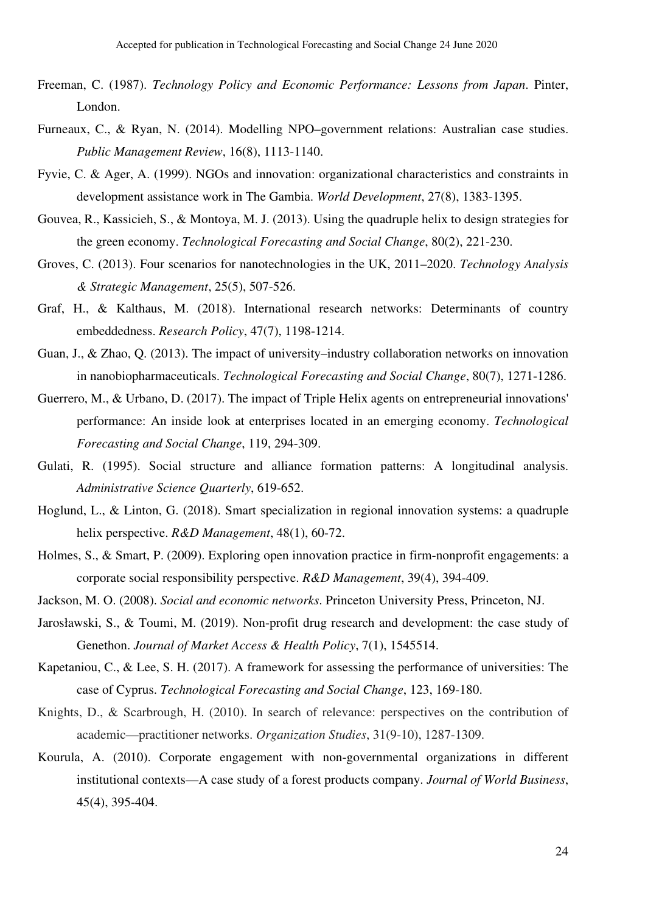- Freeman, C. (1987). *Technology Policy and Economic Performance: Lessons from Japan*. Pinter, London.
- Furneaux, C., & Ryan, N. (2014). Modelling NPO–government relations: Australian case studies. *Public Management Review*, 16(8), 1113-1140.
- Fyvie, C. & Ager, A. (1999). NGOs and innovation: organizational characteristics and constraints in development assistance work in The Gambia. *World Development*, 27(8), 1383-1395.
- Gouvea, R., Kassicieh, S., & Montoya, M. J. (2013). Using the quadruple helix to design strategies for the green economy. *Technological Forecasting and Social Change*, 80(2), 221-230.
- Groves, C. (2013). Four scenarios for nanotechnologies in the UK, 2011–2020. *Technology Analysis & Strategic Management*, 25(5), 507-526.
- Graf, H., & Kalthaus, M. (2018). International research networks: Determinants of country embeddedness. *Research Policy*, 47(7), 1198-1214.
- Guan, J., & Zhao, Q. (2013). The impact of university–industry collaboration networks on innovation in nanobiopharmaceuticals. *Technological Forecasting and Social Change*, 80(7), 1271-1286.
- Guerrero, M., & Urbano, D. (2017). The impact of Triple Helix agents on entrepreneurial innovations' performance: An inside look at enterprises located in an emerging economy. *Technological Forecasting and Social Change*, 119, 294-309.
- Gulati, R. (1995). Social structure and alliance formation patterns: A longitudinal analysis. *Administrative Science Quarterly*, 619-652.
- Hoglund, L., & Linton, G. (2018). Smart specialization in regional innovation systems: a quadruple helix perspective. *R&D Management*, 48(1), 60-72.
- Holmes, S., & Smart, P. (2009). Exploring open innovation practice in firm-nonprofit engagements: a corporate social responsibility perspective. *R&D Management*, 39(4), 394-409.
- Jackson, M. O. (2008). *Social and economic networks*. Princeton University Press, Princeton, NJ.
- Jarosławski, S., & Toumi, M. (2019). Non-profit drug research and development: the case study of Genethon. *Journal of Market Access & Health Policy*, 7(1), 1545514.
- Kapetaniou, C., & Lee, S. H. (2017). A framework for assessing the performance of universities: The case of Cyprus. *Technological Forecasting and Social Change*, 123, 169-180.
- Knights, D., & Scarbrough, H. (2010). In search of relevance: perspectives on the contribution of academic—practitioner networks. *Organization Studies*, 31(9-10), 1287-1309.
- Kourula, A. (2010). Corporate engagement with non-governmental organizations in different institutional contexts—A case study of a forest products company. *Journal of World Business*, 45(4), 395-404.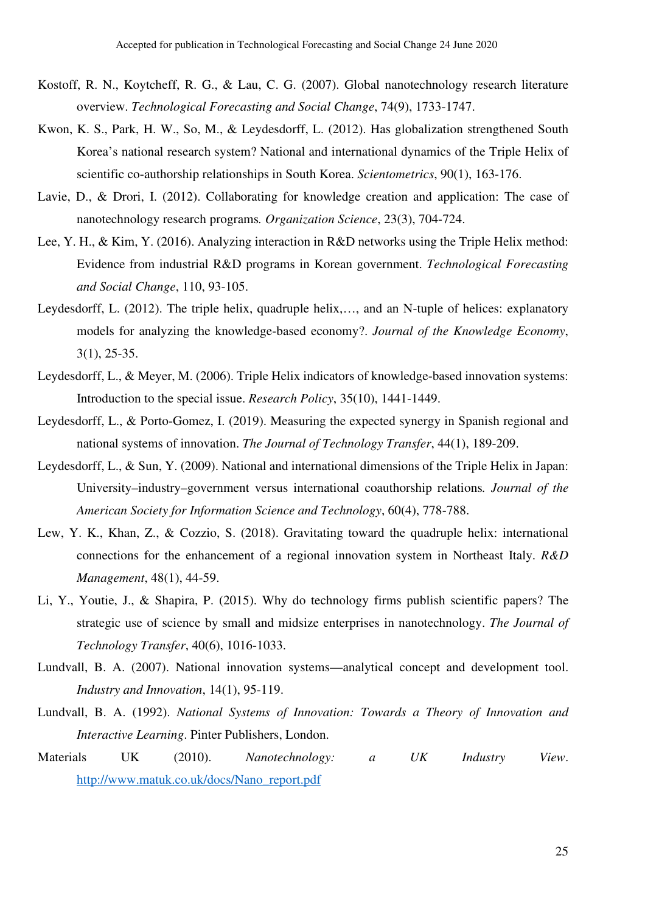- Kostoff, R. N., Koytcheff, R. G., & Lau, C. G. (2007). Global nanotechnology research literature overview. *Technological Forecasting and Social Change*, 74(9), 1733-1747.
- Kwon, K. S., Park, H. W., So, M., & Leydesdorff, L. (2012). Has globalization strengthened South Korea's national research system? National and international dynamics of the Triple Helix of scientific co-authorship relationships in South Korea. *Scientometrics*, 90(1), 163-176.
- Lavie, D., & Drori, I. (2012). Collaborating for knowledge creation and application: The case of nanotechnology research programs*. Organization Science*, 23(3), 704-724.
- Lee, Y. H., & Kim, Y. (2016). Analyzing interaction in R&D networks using the Triple Helix method: Evidence from industrial R&D programs in Korean government. *Technological Forecasting and Social Change*, 110, 93-105.
- Leydesdorff, L. (2012). The triple helix, quadruple helix,…, and an N-tuple of helices: explanatory models for analyzing the knowledge-based economy?. *Journal of the Knowledge Economy*, 3(1), 25-35.
- Leydesdorff, L., & Meyer, M. (2006). Triple Helix indicators of knowledge-based innovation systems: Introduction to the special issue. *Research Policy*, 35(10), 1441-1449.
- Leydesdorff, L., & Porto-Gomez, I. (2019). Measuring the expected synergy in Spanish regional and national systems of innovation. *The Journal of Technology Transfer*, 44(1), 189-209.
- Leydesdorff, L., & Sun, Y. (2009). National and international dimensions of the Triple Helix in Japan: University–industry–government versus international coauthorship relations*. Journal of the American Society for Information Science and Technology*, 60(4), 778-788.
- Lew, Y. K., Khan, Z., & Cozzio, S. (2018). Gravitating toward the quadruple helix: international connections for the enhancement of a regional innovation system in Northeast Italy. *R&D Management*, 48(1), 44-59.
- Li, Y., Youtie, J., & Shapira, P. (2015). Why do technology firms publish scientific papers? The strategic use of science by small and midsize enterprises in nanotechnology. *The Journal of Technology Transfer*, 40(6), 1016-1033.
- Lundvall, B. A. (2007). National innovation systems—analytical concept and development tool. *Industry and Innovation*, 14(1), 95-119.
- Lundvall, B. A. (1992). *National Systems of Innovation: Towards a Theory of Innovation and Interactive Learning*. Pinter Publishers, London.
- Materials UK (2010). *Nanotechnology: a UK Industry View*. http://www.matuk.co.uk/docs/Nano\_report.pdf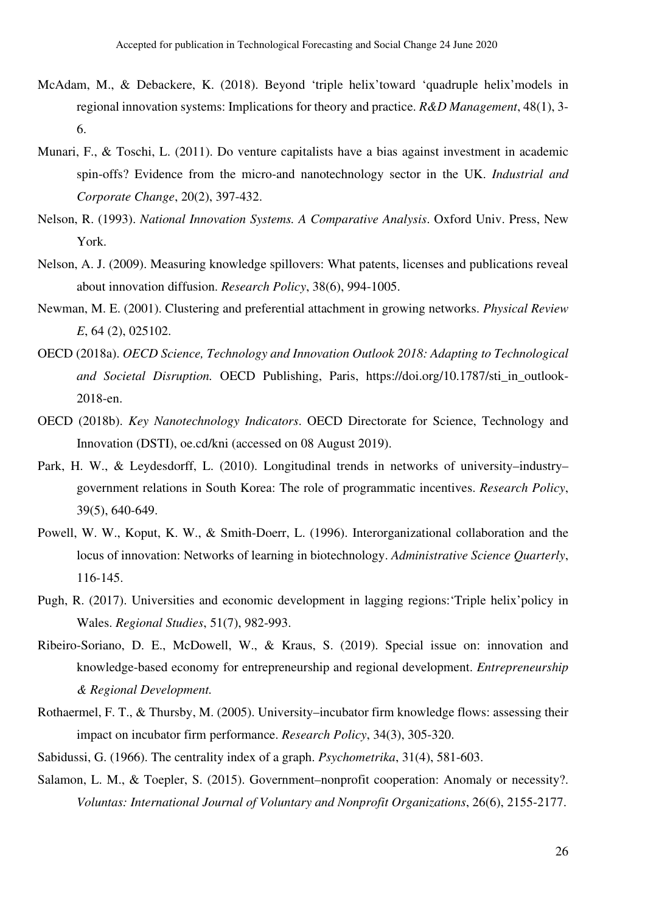- McAdam, M., & Debackere, K. (2018). Beyond 'triple helix'toward 'quadruple helix'models in regional innovation systems: Implications for theory and practice. *R&D Management*, 48(1), 3- 6.
- Munari, F., & Toschi, L. (2011). Do venture capitalists have a bias against investment in academic spin-offs? Evidence from the micro-and nanotechnology sector in the UK. *Industrial and Corporate Change*, 20(2), 397-432.
- Nelson, R. (1993). *National Innovation Systems. A Comparative Analysis*. Oxford Univ. Press, New York.
- Nelson, A. J. (2009). Measuring knowledge spillovers: What patents, licenses and publications reveal about innovation diffusion. *Research Policy*, 38(6), 994-1005.
- Newman, M. E. (2001). Clustering and preferential attachment in growing networks. *Physical Review E*, 64 (2), 025102.
- OECD (2018a). *OECD Science, Technology and Innovation Outlook 2018: Adapting to Technological*  and Societal Disruption. OECD Publishing, Paris, https://doi.org/10.1787/sti\_in\_outlook-2018-en.
- OECD (2018b). *Key Nanotechnology Indicators*. OECD Directorate for Science, Technology and Innovation (DSTI), oe.cd/kni (accessed on 08 August 2019).
- Park, H. W., & Leydesdorff, L. (2010). Longitudinal trends in networks of university–industry– government relations in South Korea: The role of programmatic incentives. *Research Policy*, 39(5), 640-649.
- Powell, W. W., Koput, K. W., & Smith-Doerr, L. (1996). Interorganizational collaboration and the locus of innovation: Networks of learning in biotechnology. *Administrative Science Quarterly*, 116-145.
- Pugh, R. (2017). Universities and economic development in lagging regions:'Triple helix'policy in Wales. *Regional Studies*, 51(7), 982-993.
- Ribeiro-Soriano, D. E., McDowell, W., & Kraus, S. (2019). Special issue on: innovation and knowledge-based economy for entrepreneurship and regional development. *Entrepreneurship & Regional Development.*
- Rothaermel, F. T., & Thursby, M. (2005). University–incubator firm knowledge flows: assessing their impact on incubator firm performance. *Research Policy*, 34(3), 305-320.

Sabidussi, G. (1966). The centrality index of a graph. *Psychometrika*, 31(4), 581-603.

Salamon, L. M., & Toepler, S. (2015). Government–nonprofit cooperation: Anomaly or necessity?. *Voluntas: International Journal of Voluntary and Nonprofit Organizations*, 26(6), 2155-2177.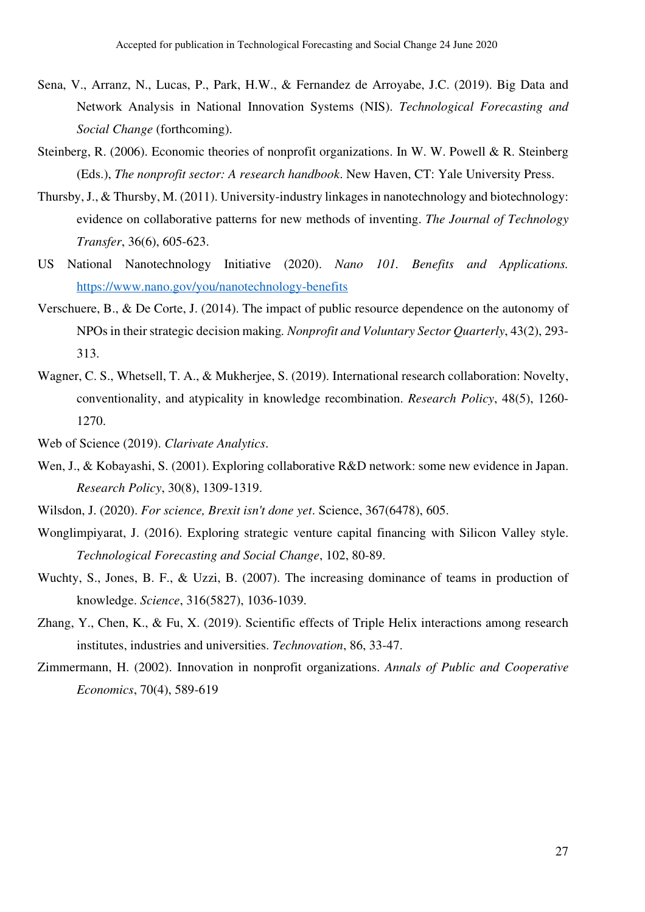- Sena, V., Arranz, N., Lucas, P., Park, H.W., & Fernandez de Arroyabe, J.C. (2019). Big Data and Network Analysis in National Innovation Systems (NIS). *Technological Forecasting and Social Change* (forthcoming).
- Steinberg, R. (2006). Economic theories of nonprofit organizations. In W. W. Powell & R. Steinberg (Eds.), *The nonprofit sector: A research handbook*. New Haven, CT: Yale University Press.
- Thursby, J., & Thursby, M. (2011). University-industry linkages in nanotechnology and biotechnology: evidence on collaborative patterns for new methods of inventing. *The Journal of Technology Transfer*, 36(6), 605-623.
- US National Nanotechnology Initiative (2020). *Nano 101. Benefits and Applications.* https://www.nano.gov/you/nanotechnology-benefits
- Verschuere, B., & De Corte, J. (2014). The impact of public resource dependence on the autonomy of NPOs in their strategic decision making*. Nonprofit and Voluntary Sector Quarterly*, 43(2), 293- 313.
- Wagner, C. S., Whetsell, T. A., & Mukherjee, S. (2019). International research collaboration: Novelty, conventionality, and atypicality in knowledge recombination. *Research Policy*, 48(5), 1260- 1270.
- Web of Science (2019). *Clarivate Analytics*.
- Wen, J., & Kobayashi, S. (2001). Exploring collaborative R&D network: some new evidence in Japan. *Research Policy*, 30(8), 1309-1319.
- Wilsdon, J. (2020). *For science, Brexit isn't done yet*. Science, 367(6478), 605.
- Wonglimpiyarat, J. (2016). Exploring strategic venture capital financing with Silicon Valley style. *Technological Forecasting and Social Change*, 102, 80-89.
- Wuchty, S., Jones, B. F., & Uzzi, B. (2007). The increasing dominance of teams in production of knowledge. *Science*, 316(5827), 1036-1039.
- Zhang, Y., Chen, K., & Fu, X. (2019). Scientific effects of Triple Helix interactions among research institutes, industries and universities. *Technovation*, 86, 33-47.
- Zimmermann, H. (2002). Innovation in nonprofit organizations. *Annals of Public and Cooperative Economics*, 70(4), 589-619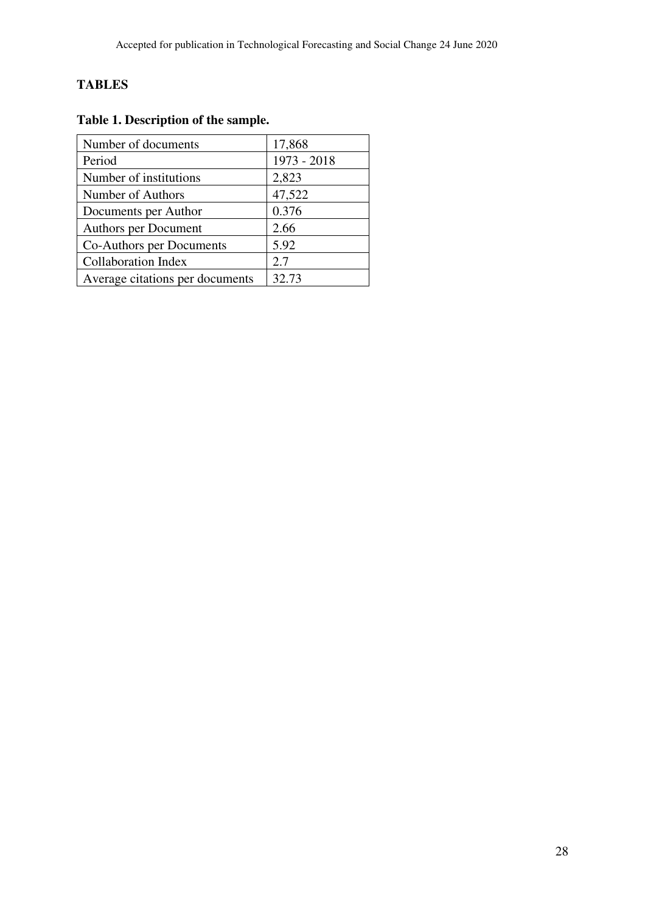# **TABLES**

# **Table 1. Description of the sample.**

| Number of documents             | 17,868      |  |  |  |
|---------------------------------|-------------|--|--|--|
| Period                          | 1973 - 2018 |  |  |  |
| Number of institutions          | 2,823       |  |  |  |
| Number of Authors               | 47,522      |  |  |  |
| Documents per Author            | 0.376       |  |  |  |
| Authors per Document            | 2.66        |  |  |  |
| Co-Authors per Documents        | 5.92        |  |  |  |
| <b>Collaboration Index</b>      | 2.7         |  |  |  |
| Average citations per documents | 32.73       |  |  |  |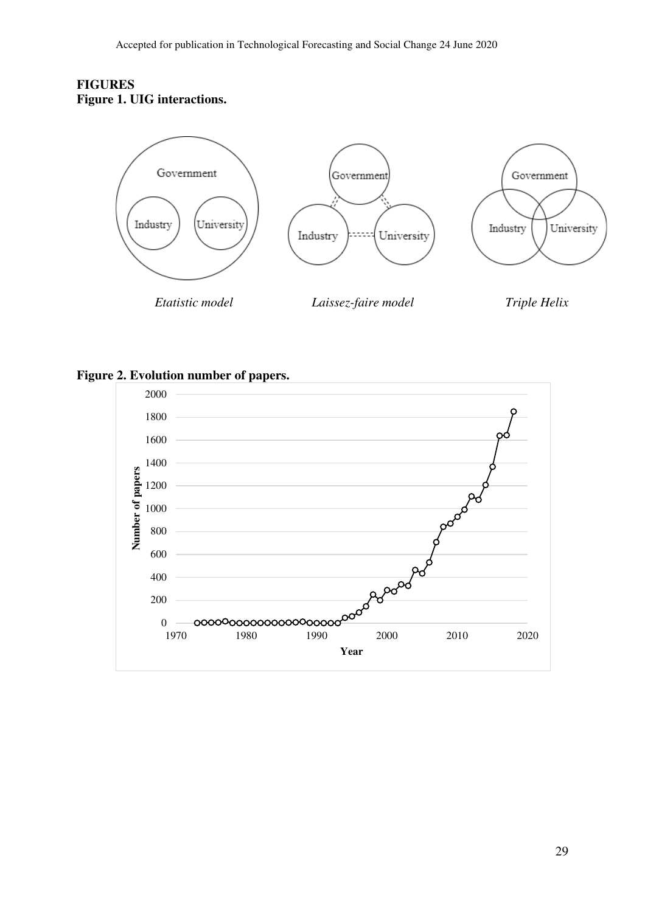# **FIGURES Figure 1. UIG interactions.**





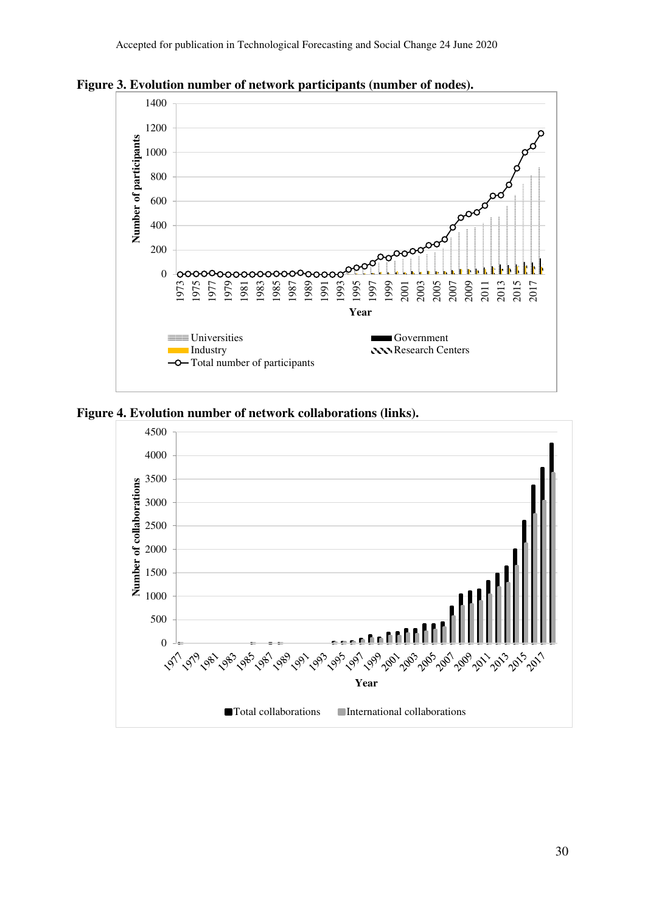**Figure 3. Evolution number of network participants (number of nodes).** 



**Figure 4. Evolution number of network collaborations (links).** 

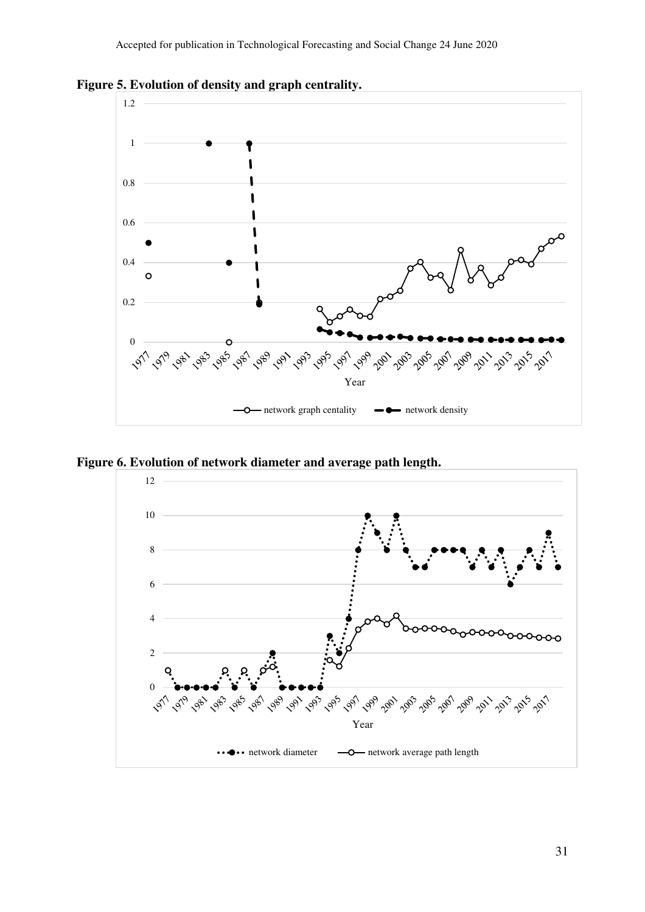

**Figure 5. Evolution of density and graph centrality.** 

**Figure 6. Evolution of network diameter and average path length.** 

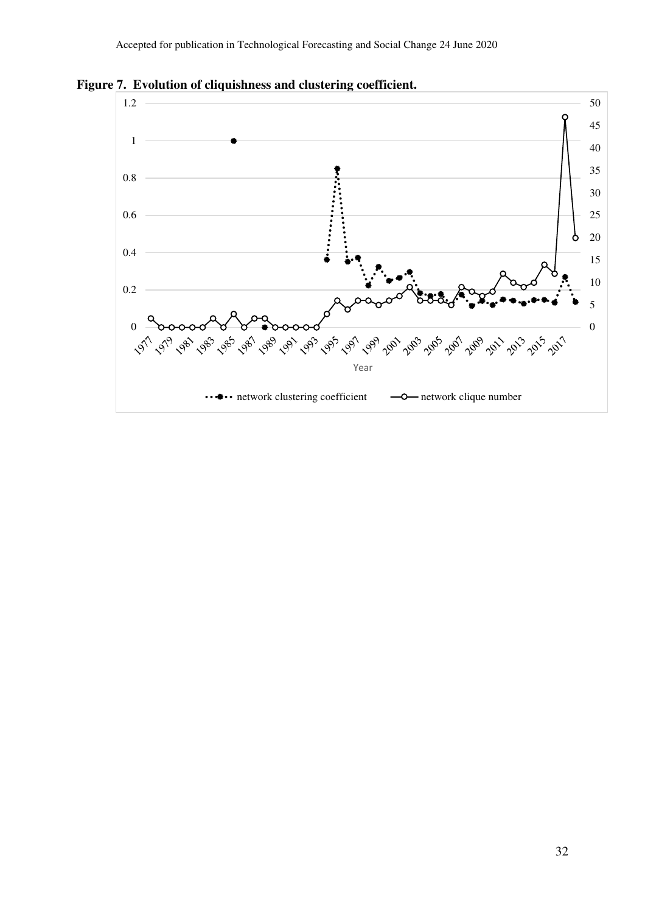

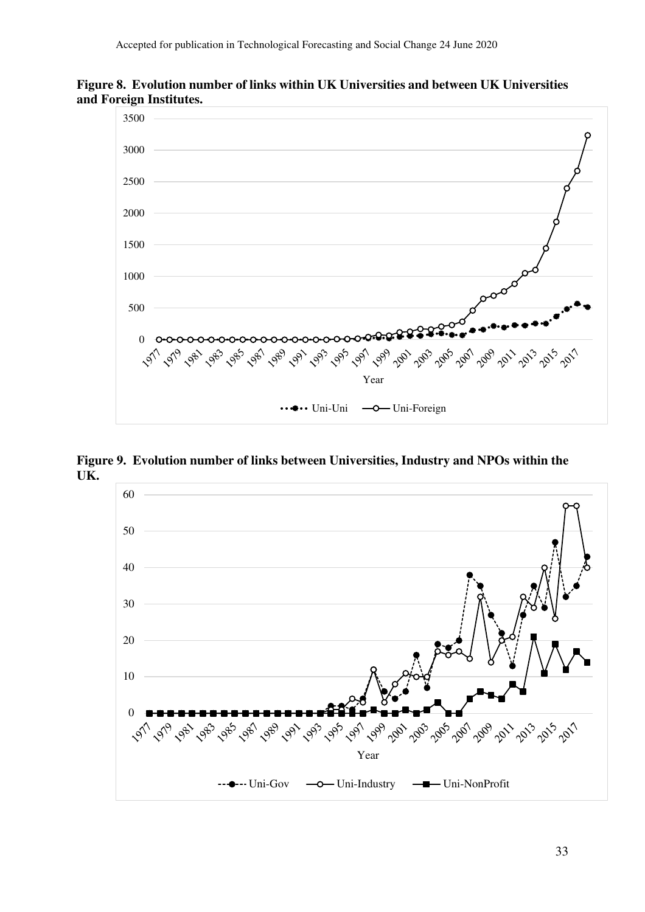



**Figure 9. Evolution number of links between Universities, Industry and NPOs within the UK.** 

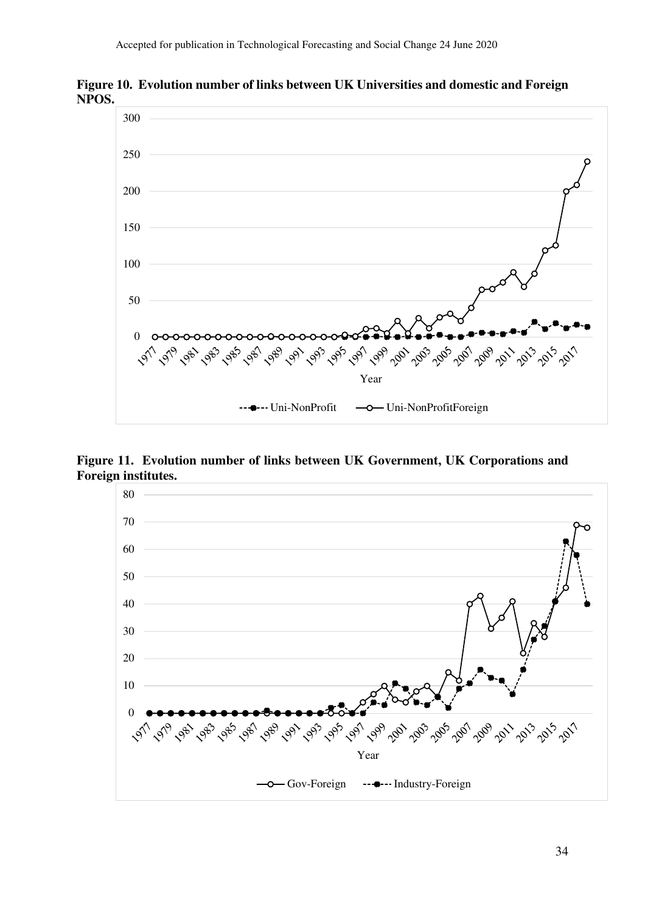



**Figure 11. Evolution number of links between UK Government, UK Corporations and Foreign institutes.** 

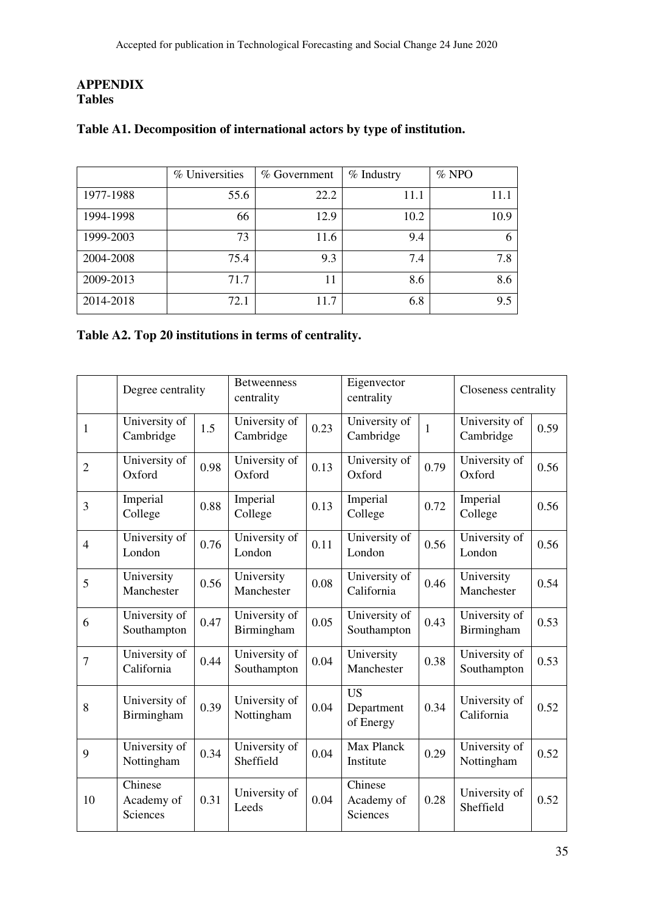# **APPENDIX Tables**

|           | % Universities | % Government | % Industry | $%$ NPO |
|-----------|----------------|--------------|------------|---------|
| 1977-1988 | 55.6           | 22.2         | 11.1       | 11.1    |
| 1994-1998 | 66             | 12.9         | 10.2       | 10.9    |
| 1999-2003 | 73             | 11.6         | 9.4        | 6       |
| 2004-2008 | 75.4           | 9.3          | 7.4        | 7.8     |
| 2009-2013 | 71.7           |              | 8.6        | 8.6     |
| 2014-2018 | 72.1           | 11.7         | 6.8        | 9.5     |

# **Table A1. Decomposition of international actors by type of institution.**

# **Table A2. Top 20 institutions in terms of centrality.**

|                | Degree centrality                 |      | <b>Betweenness</b><br>centrality |      | Eigenvector<br>centrality            |              | Closeness centrality         |      |
|----------------|-----------------------------------|------|----------------------------------|------|--------------------------------------|--------------|------------------------------|------|
| 1              | University of<br>Cambridge        | 1.5  | University of<br>Cambridge       | 0.23 | University of<br>Cambridge           | $\mathbf{1}$ | University of<br>Cambridge   | 0.59 |
| $\overline{2}$ | University of<br>Oxford           | 0.98 | University of<br>Oxford          | 0.13 | University of<br>Oxford              | 0.79         | University of<br>Oxford      | 0.56 |
| 3              | Imperial<br>College               | 0.88 | Imperial<br>College              | 0.13 | Imperial<br>College                  | 0.72         | Imperial<br>College          | 0.56 |
| $\overline{4}$ | University of<br>London           | 0.76 | University of<br>London          | 0.11 | University of<br>London              | 0.56         | University of<br>London      | 0.56 |
| 5              | University<br>Manchester          | 0.56 | University<br>Manchester         | 0.08 | University of<br>California          | 0.46         | University<br>Manchester     | 0.54 |
| 6              | University of<br>Southampton      | 0.47 | University of<br>Birmingham      | 0.05 | University of<br>Southampton         | 0.43         | University of<br>Birmingham  | 0.53 |
| $\overline{7}$ | University of<br>California       | 0.44 | University of<br>Southampton     | 0.04 | University<br>Manchester             | 0.38         | University of<br>Southampton | 0.53 |
| 8              | University of<br>Birmingham       | 0.39 | University of<br>Nottingham      | 0.04 | <b>US</b><br>Department<br>of Energy | 0.34         | University of<br>California  | 0.52 |
| 9              | University of<br>Nottingham       | 0.34 | University of<br>Sheffield       | 0.04 | <b>Max Planck</b><br>Institute       | 0.29         | University of<br>Nottingham  | 0.52 |
| 10             | Chinese<br>Academy of<br>Sciences | 0.31 | University of<br>Leeds           | 0.04 | Chinese<br>Academy of<br>Sciences    | 0.28         | University of<br>Sheffield   | 0.52 |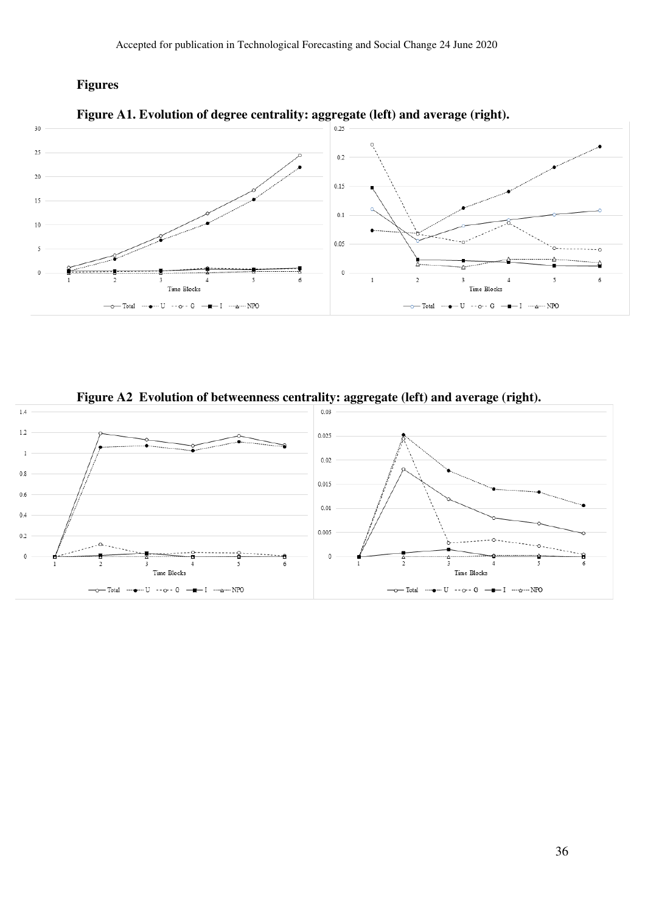# **Figures**



**Figure A2 Evolution of betweenness centrality: aggregate (left) and average (right).**